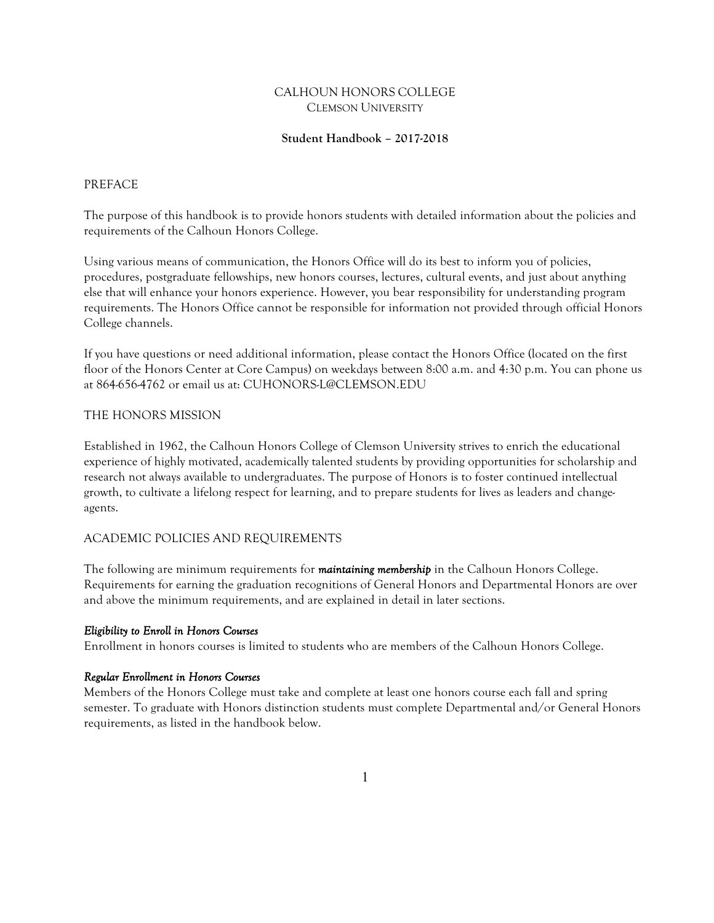# CALHOUN HONORS COLLEGE CLEMSON UNIVERSITY

# **Student Handbook – 2017-2018**

### PREFACE

The purpose of this handbook is to provide honors students with detailed information about the policies and requirements of the Calhoun Honors College.

Using various means of communication, the Honors Office will do its best to inform you of policies, procedures, postgraduate fellowships, new honors courses, lectures, cultural events, and just about anything else that will enhance your honors experience. However, you bear responsibility for understanding program requirements. The Honors Office cannot be responsible for information not provided through official Honors College channels.

If you have questions or need additional information, please contact the Honors Office (located on the first floor of the Honors Center at Core Campus) on weekdays between 8:00 a.m. and 4:30 p.m. You can phone us at 864-656-4762 or email us at: CUHONORS-L@CLEMSON.EDU

### THE HONORS MISSION

Established in 1962, the Calhoun Honors College of Clemson University strives to enrich the educational experience of highly motivated, academically talented students by providing opportunities for scholarship and research not always available to undergraduates. The purpose of Honors is to foster continued intellectual growth, to cultivate a lifelong respect for learning, and to prepare students for lives as leaders and changeagents.

### ACADEMIC POLICIES AND REQUIREMENTS

The following are minimum requirements for *maintaining membership* in the Calhoun Honors College. Requirements for earning the graduation recognitions of General Honors and Departmental Honors are over and above the minimum requirements, and are explained in detail in later sections.

#### *Eligibility to Enroll in Honors Courses*

Enrollment in honors courses is limited to students who are members of the Calhoun Honors College.

#### *Regular Enrollment in Honors Courses*

Members of the Honors College must take and complete at least one honors course each fall and spring semester. To graduate with Honors distinction students must complete Departmental and/or General Honors requirements, as listed in the handbook below.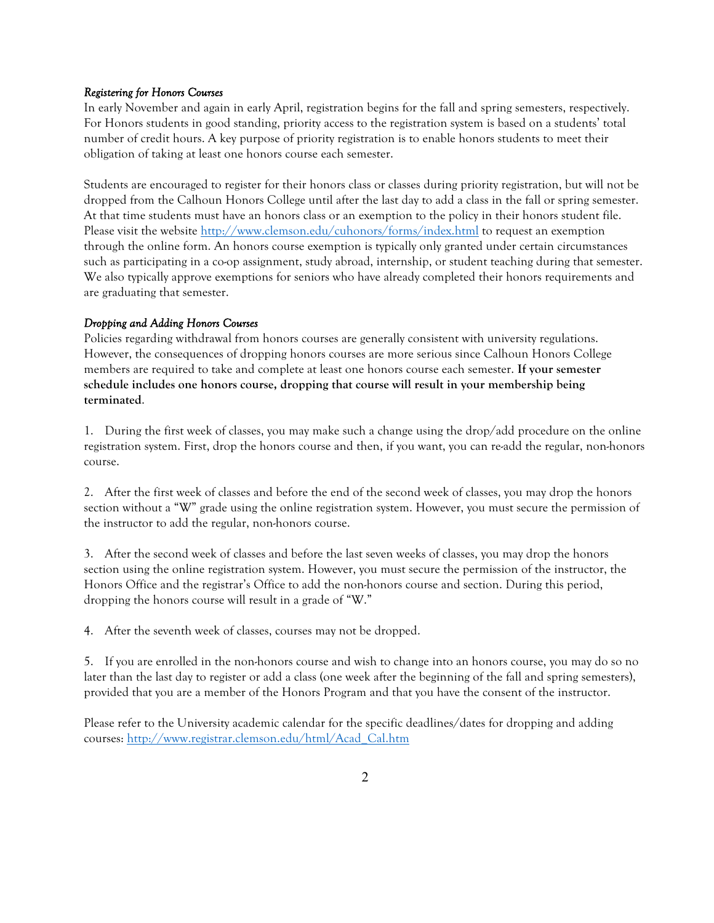### *Registering for Honors Courses*

In early November and again in early April, registration begins for the fall and spring semesters, respectively. For Honors students in good standing, priority access to the registration system is based on a students' total number of credit hours. A key purpose of priority registration is to enable honors students to meet their obligation of taking at least one honors course each semester.

Students are encouraged to register for their honors class or classes during priority registration, but will not be dropped from the Calhoun Honors College until after the last day to add a class in the fall or spring semester. At that time students must have an honors class or an exemption to the policy in their honors student file. Please visit the website http://www.clemson.edu/cuhonors/forms/index.html to request an exemption through the online form. An honors course exemption is typically only granted under certain circumstances such as participating in a co-op assignment, study abroad, internship, or student teaching during that semester. We also typically approve exemptions for seniors who have already completed their honors requirements and are graduating that semester.

### *Dropping and Adding Honors Courses*

Policies regarding withdrawal from honors courses are generally consistent with university regulations. However, the consequences of dropping honors courses are more serious since Calhoun Honors College members are required to take and complete at least one honors course each semester. **If your semester schedule includes one honors course, dropping that course will result in your membership being terminated**.

1. During the first week of classes, you may make such a change using the drop/add procedure on the online registration system. First, drop the honors course and then, if you want, you can re-add the regular, non-honors course.

2. After the first week of classes and before the end of the second week of classes, you may drop the honors section without a "W" grade using the online registration system. However, you must secure the permission of the instructor to add the regular, non-honors course.

3. After the second week of classes and before the last seven weeks of classes, you may drop the honors section using the online registration system. However, you must secure the permission of the instructor, the Honors Office and the registrar's Office to add the non-honors course and section. During this period, dropping the honors course will result in a grade of "W."

4. After the seventh week of classes, courses may not be dropped.

5. If you are enrolled in the non-honors course and wish to change into an honors course, you may do so no later than the last day to register or add a class (one week after the beginning of the fall and spring semesters), provided that you are a member of the Honors Program and that you have the consent of the instructor.

Please refer to the University academic calendar for the specific deadlines/dates for dropping and adding courses: http://www.registrar.clemson.edu/html/Acad\_Cal.htm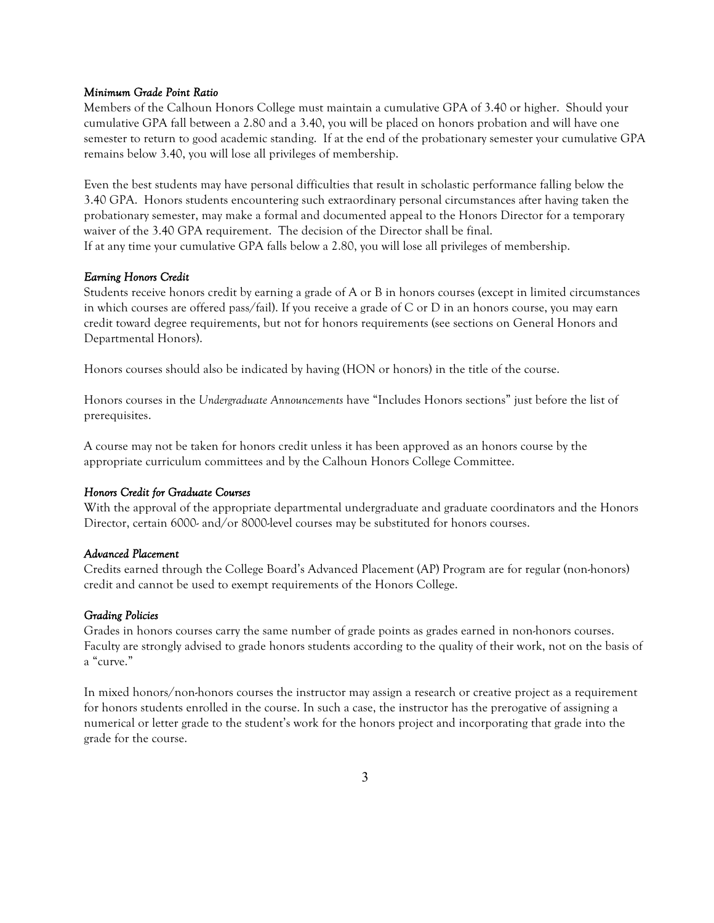#### *Minimum Grade Point Ratio*

Members of the Calhoun Honors College must maintain a cumulative GPA of 3.40 or higher. Should your cumulative GPA fall between a 2.80 and a 3.40, you will be placed on honors probation and will have one semester to return to good academic standing. If at the end of the probationary semester your cumulative GPA remains below 3.40, you will lose all privileges of membership.

Even the best students may have personal difficulties that result in scholastic performance falling below the 3.40 GPA. Honors students encountering such extraordinary personal circumstances after having taken the probationary semester, may make a formal and documented appeal to the Honors Director for a temporary waiver of the 3.40 GPA requirement. The decision of the Director shall be final. If at any time your cumulative GPA falls below a 2.80, you will lose all privileges of membership.

### *Earning Honors Credit*

Students receive honors credit by earning a grade of A or B in honors courses (except in limited circumstances in which courses are offered pass/fail). If you receive a grade of C or D in an honors course, you may earn credit toward degree requirements, but not for honors requirements (see sections on General Honors and Departmental Honors).

Honors courses should also be indicated by having (HON or honors) in the title of the course.

Honors courses in the *Undergraduate Announcements* have "Includes Honors sections" just before the list of prerequisites.

A course may not be taken for honors credit unless it has been approved as an honors course by the appropriate curriculum committees and by the Calhoun Honors College Committee.

#### *Honors Credit for Graduate Courses*

With the approval of the appropriate departmental undergraduate and graduate coordinators and the Honors Director, certain 6000- and/or 8000-level courses may be substituted for honors courses.

### *Advanced Placement*

Credits earned through the College Board's Advanced Placement (AP) Program are for regular (non-honors) credit and cannot be used to exempt requirements of the Honors College.

#### *Grading Policies*

Grades in honors courses carry the same number of grade points as grades earned in non-honors courses. Faculty are strongly advised to grade honors students according to the quality of their work, not on the basis of a "curve."

In mixed honors/non-honors courses the instructor may assign a research or creative project as a requirement for honors students enrolled in the course. In such a case, the instructor has the prerogative of assigning a numerical or letter grade to the student's work for the honors project and incorporating that grade into the grade for the course.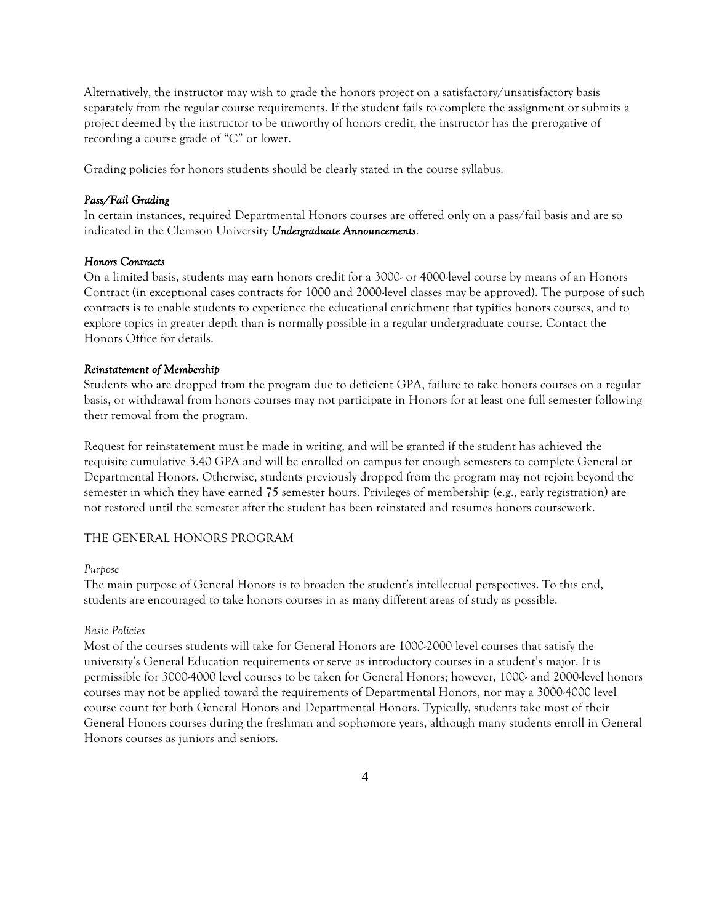Alternatively, the instructor may wish to grade the honors project on a satisfactory/unsatisfactory basis separately from the regular course requirements. If the student fails to complete the assignment or submits a project deemed by the instructor to be unworthy of honors credit, the instructor has the prerogative of recording a course grade of "C" or lower.

Grading policies for honors students should be clearly stated in the course syllabus.

### *Pass/Fail Grading*

In certain instances, required Departmental Honors courses are offered only on a pass/fail basis and are so indicated in the Clemson University *Undergraduate Announcements*.

#### *Honors Contracts*

On a limited basis, students may earn honors credit for a 3000- or 4000-level course by means of an Honors Contract (in exceptional cases contracts for 1000 and 2000-level classes may be approved). The purpose of such contracts is to enable students to experience the educational enrichment that typifies honors courses, and to explore topics in greater depth than is normally possible in a regular undergraduate course. Contact the Honors Office for details.

#### *Reinstatement of Membership*

Students who are dropped from the program due to deficient GPA, failure to take honors courses on a regular basis, or withdrawal from honors courses may not participate in Honors for at least one full semester following their removal from the program.

Request for reinstatement must be made in writing, and will be granted if the student has achieved the requisite cumulative 3.40 GPA and will be enrolled on campus for enough semesters to complete General or Departmental Honors. Otherwise, students previously dropped from the program may not rejoin beyond the semester in which they have earned 75 semester hours. Privileges of membership (e.g., early registration) are not restored until the semester after the student has been reinstated and resumes honors coursework.

### THE GENERAL HONORS PROGRAM

#### *Purpose*

The main purpose of General Honors is to broaden the student's intellectual perspectives. To this end, students are encouraged to take honors courses in as many different areas of study as possible.

#### *Basic Policies*

Most of the courses students will take for General Honors are 1000-2000 level courses that satisfy the university's General Education requirements or serve as introductory courses in a student's major. It is permissible for 3000-4000 level courses to be taken for General Honors; however, 1000- and 2000-level honors courses may not be applied toward the requirements of Departmental Honors, nor may a 3000-4000 level course count for both General Honors and Departmental Honors. Typically, students take most of their General Honors courses during the freshman and sophomore years, although many students enroll in General Honors courses as juniors and seniors.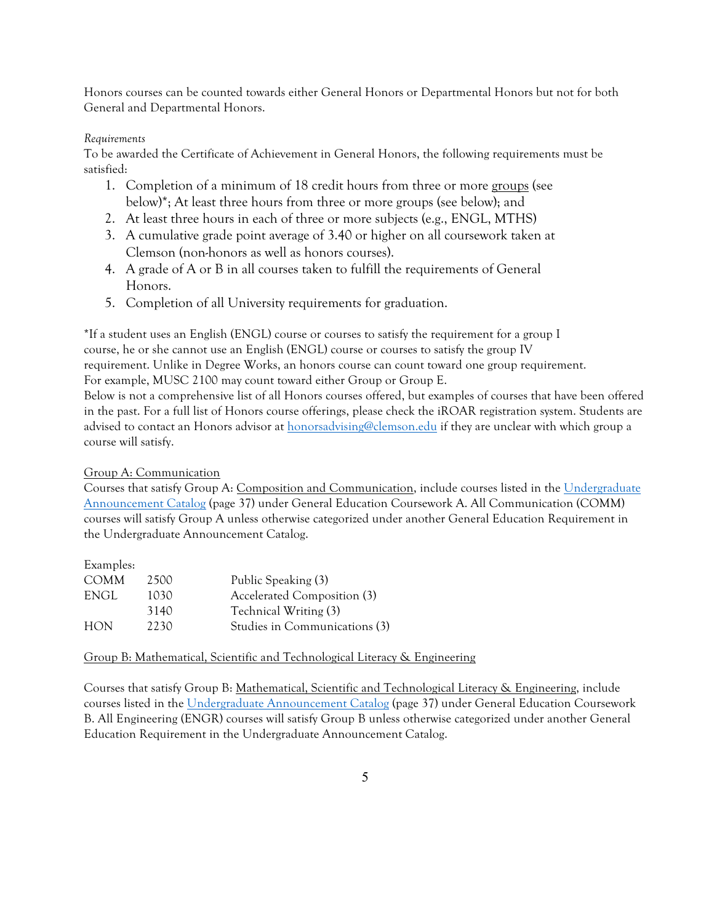Honors courses can be counted towards either General Honors or Departmental Honors but not for both General and Departmental Honors.

# *Requirements*

To be awarded the Certificate of Achievement in General Honors, the following requirements must be satisfied:

- 1. Completion of a minimum of 18 credit hours from three or more groups (see below)\*; At least three hours from three or more groups (see below); and
- 2. At least three hours in each of three or more subjects (e.g., ENGL, MTHS)
- 3. A cumulative grade point average of 3.40 or higher on all coursework taken at Clemson (non-honors as well as honors courses).
- 4. A grade of A or B in all courses taken to fulfill the requirements of General Honors.
- 5. Completion of all University requirements for graduation.

\*If a student uses an English (ENGL) course or courses to satisfy the requirement for a group I course, he or she cannot use an English (ENGL) course or courses to satisfy the group IV requirement. Unlike in Degree Works, an honors course can count toward one group requirement. For example, MUSC 2100 may count toward either Group or Group E.

Below is not a comprehensive list of all Honors courses offered, but examples of courses that have been offered in the past. For a full list of Honors course offerings, please check the iROAR registration system. Students are advised to contact an Honors advisor at honorsadvising@clemson.edu if they are unclear with which group a course will satisfy.

Group A: Communication

Courses that satisfy Group A: Composition and Communication, include courses listed in the Undergraduate Announcement Catalog (page 37) under General Education Coursework A. All Communication (COMM) courses will satisfy Group A unless otherwise categorized under another General Education Requirement in the Undergraduate Announcement Catalog.

| 2500 | Public Speaking (3)           |
|------|-------------------------------|
| 1030 | Accelerated Composition (3)   |
| 3140 | Technical Writing (3)         |
| 2230 | Studies in Communications (3) |
|      |                               |

Group B: Mathematical, Scientific and Technological Literacy & Engineering

Courses that satisfy Group B: Mathematical, Scientific and Technological Literacy & Engineering, include courses listed in the Undergraduate Announcement Catalog (page 37) under General Education Coursework B. All Engineering (ENGR) courses will satisfy Group B unless otherwise categorized under another General Education Requirement in the Undergraduate Announcement Catalog.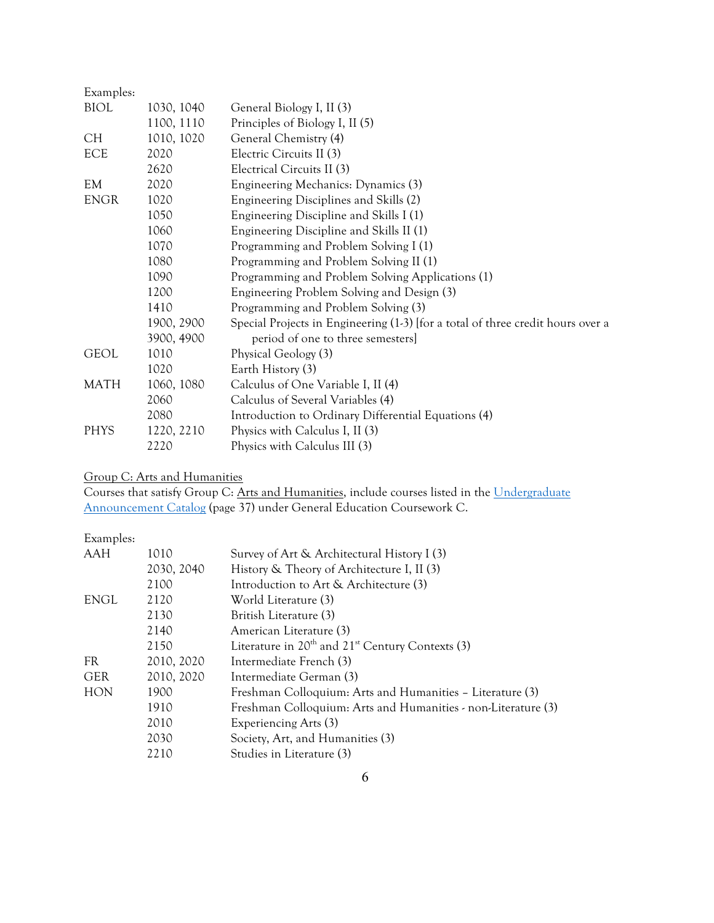| Examples:   |            |                                                                                 |
|-------------|------------|---------------------------------------------------------------------------------|
| <b>BIOL</b> | 1030, 1040 | General Biology I, II (3)                                                       |
|             | 1100, 1110 | Principles of Biology I, II (5)                                                 |
| <b>CH</b>   | 1010, 1020 | General Chemistry (4)                                                           |
| <b>ECE</b>  | 2020       | Electric Circuits II (3)                                                        |
|             | 2620       | Electrical Circuits II (3)                                                      |
| EM          | 2020       | Engineering Mechanics: Dynamics (3)                                             |
| <b>ENGR</b> | 1020       | Engineering Disciplines and Skills (2)                                          |
|             | 1050       | Engineering Discipline and Skills I (1)                                         |
|             | 1060       | Engineering Discipline and Skills II (1)                                        |
|             | 1070       | Programming and Problem Solving I (1)                                           |
|             | 1080       | Programming and Problem Solving II (1)                                          |
|             | 1090       | Programming and Problem Solving Applications (1)                                |
|             | 1200       | Engineering Problem Solving and Design (3)                                      |
|             | 1410       | Programming and Problem Solving (3)                                             |
|             | 1900, 2900 | Special Projects in Engineering (1-3) [for a total of three credit hours over a |
|             | 3900, 4900 | period of one to three semesters]                                               |
| <b>GEOL</b> | 1010       | Physical Geology (3)                                                            |
|             | 1020       | Earth History (3)                                                               |
| <b>MATH</b> | 1060, 1080 | Calculus of One Variable I, II (4)                                              |
|             | 2060       | Calculus of Several Variables (4)                                               |
|             | 2080       | Introduction to Ordinary Differential Equations (4)                             |
| <b>PHYS</b> | 1220, 2210 | Physics with Calculus I, II (3)                                                 |
|             | 2220       | Physics with Calculus III (3)                                                   |

Group C: Arts and Humanities

Courses that satisfy Group C: Arts and Humanities, include courses listed in the Undergraduate Announcement Catalog (page 37) under General Education Coursework C.

Examples:

| AAH        | 1010       | Survey of Art & Architectural History I (3)                   |
|------------|------------|---------------------------------------------------------------|
|            | 2030, 2040 | History & Theory of Architecture I, II (3)                    |
|            | 2100       | Introduction to Art & Architecture (3)                        |
| ENGL       | 2120       | World Literature (3)                                          |
|            | 2130       | British Literature (3)                                        |
|            | 2140       | American Literature (3)                                       |
|            | 2150       | Literature in $20th$ and $21st$ Century Contexts (3)          |
| <b>FR</b>  | 2010, 2020 | Intermediate French (3)                                       |
| <b>GER</b> | 2010, 2020 | Intermediate German (3)                                       |
| <b>HON</b> | 1900       | Freshman Colloquium: Arts and Humanities - Literature (3)     |
|            | 1910       | Freshman Colloquium: Arts and Humanities - non-Literature (3) |
|            | 2010       | Experiencing Arts (3)                                         |
|            | 2030       | Society, Art, and Humanities (3)                              |
|            | 2210       | Studies in Literature (3)                                     |
|            |            |                                                               |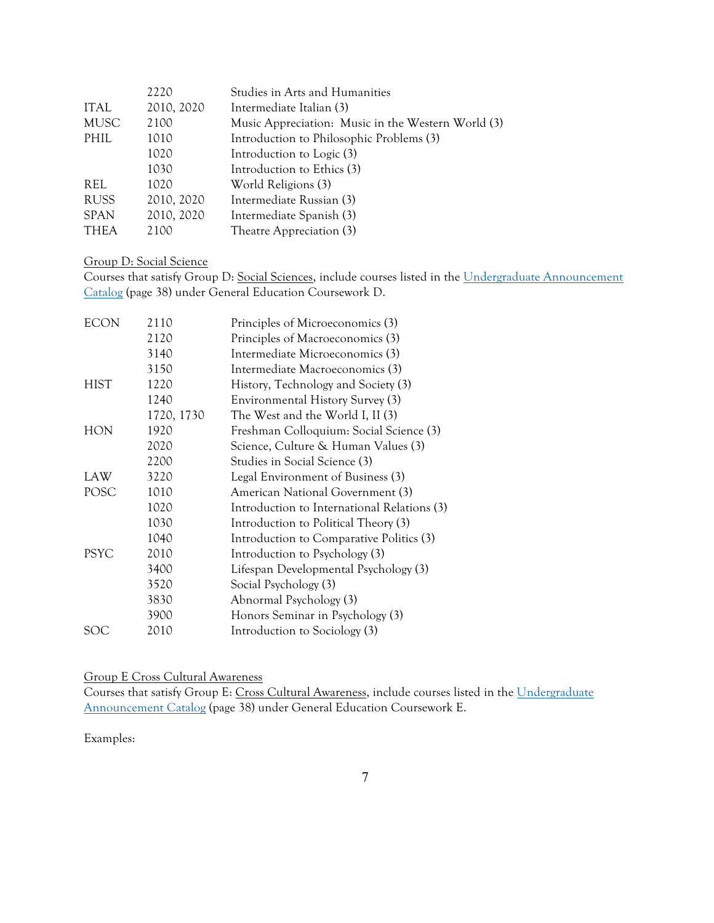|             | 2220       | Studies in Arts and Humanities                     |
|-------------|------------|----------------------------------------------------|
| <b>ITAL</b> | 2010, 2020 | Intermediate Italian (3)                           |
| <b>MUSC</b> | 2100       | Music Appreciation: Music in the Western World (3) |
| PHIL        | 1010       | Introduction to Philosophic Problems (3)           |
|             | 1020       | Introduction to Logic (3)                          |
|             | 1030       | Introduction to Ethics (3)                         |
| REL         | 1020       | World Religions (3)                                |
| <b>RUSS</b> | 2010, 2020 | Intermediate Russian (3)                           |
| <b>SPAN</b> | 2010, 2020 | Intermediate Spanish (3)                           |
| <b>THEA</b> | 2100       | Theatre Appreciation (3)                           |

### Group D: Social Science

Courses that satisfy Group D: Social Sciences, include courses listed in the Undergraduate Announcement Catalog (page 38) under General Education Coursework D.

| <b>ECON</b> | 2110       | Principles of Microeconomics (3)            |
|-------------|------------|---------------------------------------------|
|             | 2120       | Principles of Macroeconomics (3)            |
|             | 3140       | Intermediate Microeconomics (3)             |
|             | 3150       | Intermediate Macroeconomics (3)             |
| <b>HIST</b> | 1220       | History, Technology and Society (3)         |
|             | 1240       | Environmental History Survey (3)            |
|             | 1720, 1730 | The West and the World I, II (3)            |
| <b>HON</b>  | 1920       | Freshman Colloquium: Social Science (3)     |
|             | 2020       | Science, Culture & Human Values (3)         |
|             | 2200       | Studies in Social Science (3)               |
| LAW         | 3220       | Legal Environment of Business (3)           |
| POSC        | 1010       | American National Government (3)            |
|             | 1020       | Introduction to International Relations (3) |
|             | 1030       | Introduction to Political Theory (3)        |
|             | 1040       | Introduction to Comparative Politics (3)    |
| <b>PSYC</b> | 2010       | Introduction to Psychology (3)              |
|             | 3400       | Lifespan Developmental Psychology (3)       |
|             | 3520       | Social Psychology (3)                       |
|             | 3830       | Abnormal Psychology (3)                     |
|             | 3900       | Honors Seminar in Psychology (3)            |
| SOC         | 2010       | Introduction to Sociology (3)               |
|             |            |                                             |

# Group E Cross Cultural Awareness

Courses that satisfy Group E: Cross Cultural Awareness, include courses listed in the Undergraduate Announcement Catalog (page 38) under General Education Coursework E.

Examples: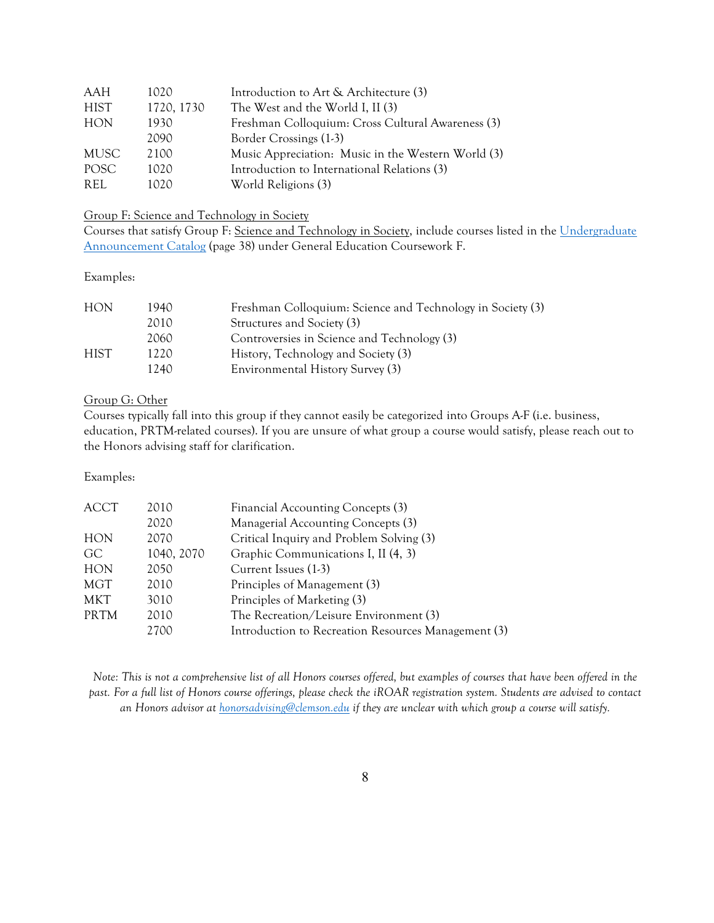| AAH         | 1020       | Introduction to Art & Architecture (3)             |
|-------------|------------|----------------------------------------------------|
| HIST        | 1720, 1730 | The West and the World I, II (3)                   |
| <b>HON</b>  | 1930       | Freshman Colloquium: Cross Cultural Awareness (3)  |
|             | 2090       | Border Crossings (1-3)                             |
| MUSC        | 2100       | Music Appreciation: Music in the Western World (3) |
| <b>POSC</b> | 1020       | Introduction to International Relations (3)        |
| REL.        | 1020       | World Religions (3)                                |

# Group F: Science and Technology in Society

Courses that satisfy Group F: Science and Technology in Society, include courses listed in the Undergraduate Announcement Catalog (page 38) under General Education Coursework F.

### Examples:

| <b>HON</b>  | 1940. | Freshman Colloquium: Science and Technology in Society (3) |
|-------------|-------|------------------------------------------------------------|
|             | 2010  | Structures and Society (3)                                 |
|             | 2060  | Controversies in Science and Technology (3)                |
| <b>HIST</b> | 1220  | History, Technology and Society (3)                        |
|             | 1240. | Environmental History Survey (3)                           |

### Group G: Other

Courses typically fall into this group if they cannot easily be categorized into Groups A-F (i.e. business, education, PRTM-related courses). If you are unsure of what group a course would satisfy, please reach out to the Honors advising staff for clarification.

# Examples:

| ACCT        | 2010       | Financial Accounting Concepts (3)                   |
|-------------|------------|-----------------------------------------------------|
|             | 2020       | Managerial Accounting Concepts (3)                  |
| <b>HON</b>  | 2070       | Critical Inquiry and Problem Solving (3)            |
| GC.         | 1040, 2070 | Graphic Communications I, II (4, 3)                 |
| <b>HON</b>  | 2050       | Current Issues (1-3)                                |
| MGT         | 2010       | Principles of Management (3)                        |
| MKT         | 3010       | Principles of Marketing (3)                         |
| <b>PRTM</b> | 2010       | The Recreation/Leisure Environment (3)              |
|             | 2700       | Introduction to Recreation Resources Management (3) |

*Note: This is not a comprehensive list of all Honors courses offered, but examples of courses that have been offered in the past. For a full list of Honors course offerings, please check the iROAR registration system. Students are advised to contact an Honors advisor at honorsadvising@clemson.edu if they are unclear with which group a course will satisfy.*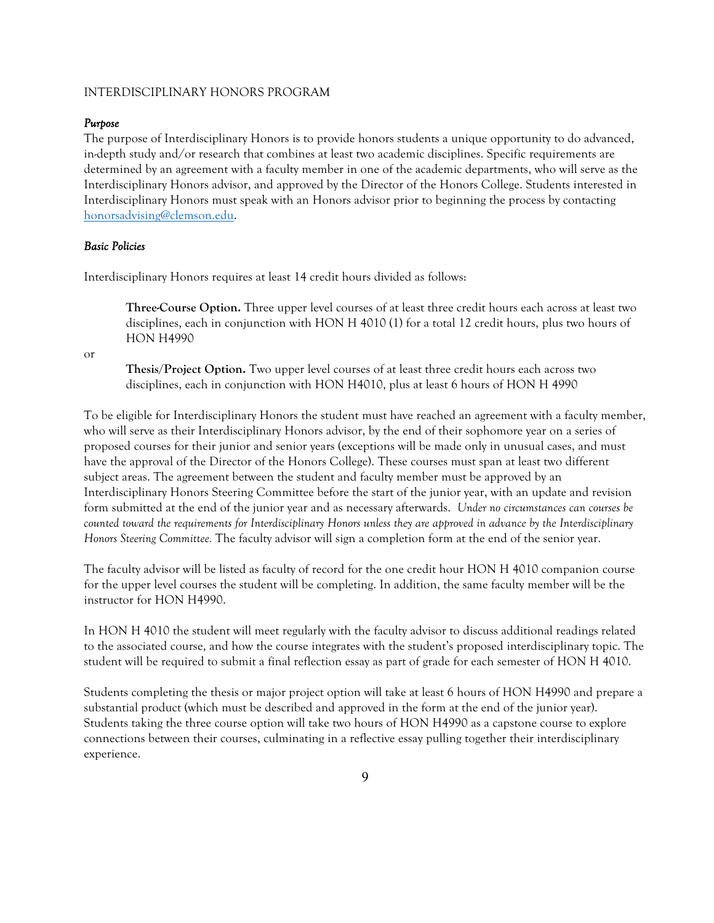#### INTERDISCIPLINARY HONORS PROGRAM

### *Purpose*

The purpose of Interdisciplinary Honors is to provide honors students a unique opportunity to do advanced, in-depth study and/or research that combines at least two academic disciplines. Specific requirements are determined by an agreement with a faculty member in one of the academic departments, who will serve as the Interdisciplinary Honors advisor, and approved by the Director of the Honors College. Students interested in Interdisciplinary Honors must speak with an Honors advisor prior to beginning the process by contacting honorsadvising@clemson.edu.

### *Basic Policies*

Interdisciplinary Honors requires at least 14 credit hours divided as follows:

**Three-Course Option.** Three upper level courses of at least three credit hours each across at least two disciplines, each in conjunction with HON H 4010 (1) for a total 12 credit hours, plus two hours of HON H4990

or

**Thesis/Project Option.** Two upper level courses of at least three credit hours each across two disciplines, each in conjunction with HON H4010, plus at least 6 hours of HON H 4990

To be eligible for Interdisciplinary Honors the student must have reached an agreement with a faculty member, who will serve as their Interdisciplinary Honors advisor, by the end of their sophomore year on a series of proposed courses for their junior and senior years (exceptions will be made only in unusual cases, and must have the approval of the Director of the Honors College). These courses must span at least two different subject areas. The agreement between the student and faculty member must be approved by an Interdisciplinary Honors Steering Committee before the start of the junior year, with an update and revision form submitted at the end of the junior year and as necessary afterwards. *Under no circumstances can courses be counted toward the requirements for Interdisciplinary Honors unless they are approved in advance by the Interdisciplinary Honors Steering Committee.* The faculty advisor will sign a completion form at the end of the senior year.

The faculty advisor will be listed as faculty of record for the one credit hour HON H 4010 companion course for the upper level courses the student will be completing. In addition, the same faculty member will be the instructor for HON H4990.

In HON H 4010 the student will meet regularly with the faculty advisor to discuss additional readings related to the associated course, and how the course integrates with the student's proposed interdisciplinary topic. The student will be required to submit a final reflection essay as part of grade for each semester of HON H 4010.

Students completing the thesis or major project option will take at least 6 hours of HON H4990 and prepare a substantial product (which must be described and approved in the form at the end of the junior year). Students taking the three course option will take two hours of HON H4990 as a capstone course to explore connections between their courses, culminating in a reflective essay pulling together their interdisciplinary experience.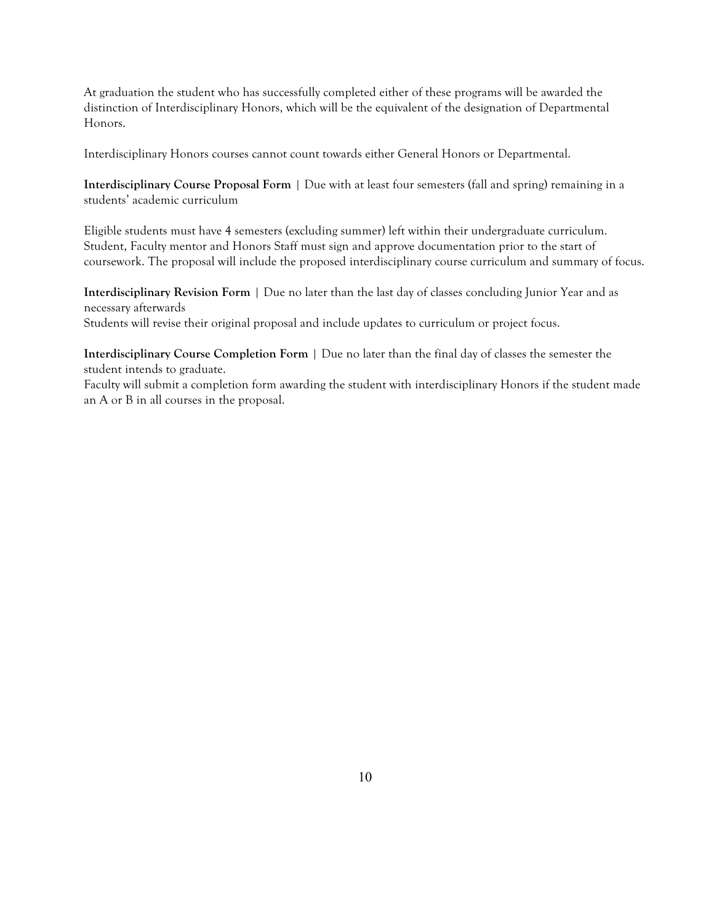At graduation the student who has successfully completed either of these programs will be awarded the distinction of Interdisciplinary Honors, which will be the equivalent of the designation of Departmental Honors.

Interdisciplinary Honors courses cannot count towards either General Honors or Departmental.

**Interdisciplinary Course Proposal Form** | Due with at least four semesters (fall and spring) remaining in a students' academic curriculum

Eligible students must have 4 semesters (excluding summer) left within their undergraduate curriculum. Student, Faculty mentor and Honors Staff must sign and approve documentation prior to the start of coursework. The proposal will include the proposed interdisciplinary course curriculum and summary of focus.

**Interdisciplinary Revision Form** | Due no later than the last day of classes concluding Junior Year and as necessary afterwards Students will revise their original proposal and include updates to curriculum or project focus.

**Interdisciplinary Course Completion Form** | Due no later than the final day of classes the semester the student intends to graduate.

Faculty will submit a completion form awarding the student with interdisciplinary Honors if the student made an A or B in all courses in the proposal.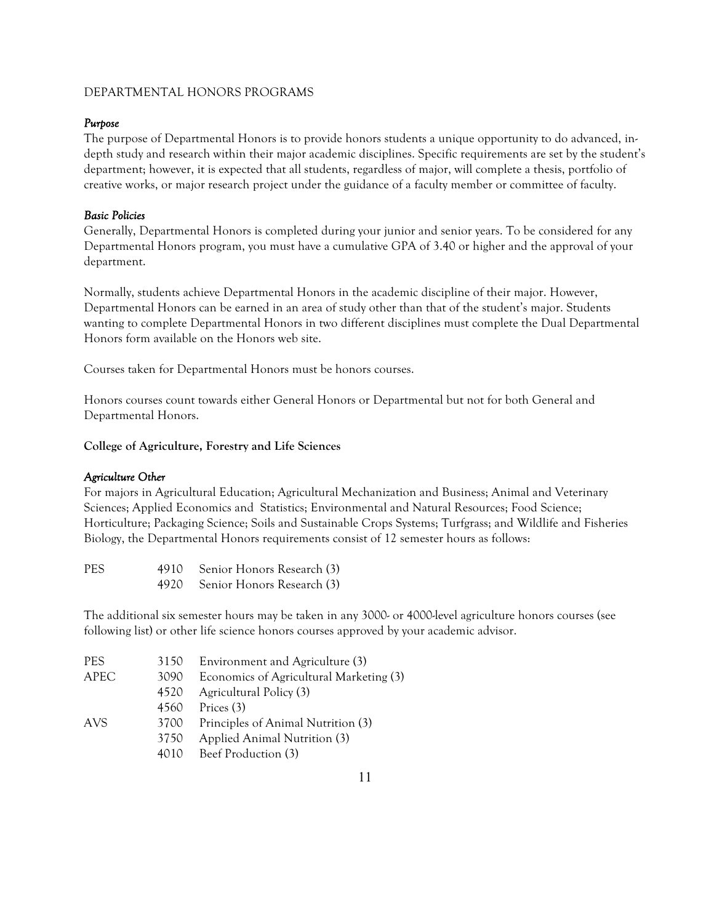# DEPARTMENTAL HONORS PROGRAMS

# *Purpose*

The purpose of Departmental Honors is to provide honors students a unique opportunity to do advanced, indepth study and research within their major academic disciplines. Specific requirements are set by the student's department; however, it is expected that all students, regardless of major, will complete a thesis, portfolio of creative works, or major research project under the guidance of a faculty member or committee of faculty.

# *Basic Policies*

Generally, Departmental Honors is completed during your junior and senior years. To be considered for any Departmental Honors program, you must have a cumulative GPA of 3.40 or higher and the approval of your department.

Normally, students achieve Departmental Honors in the academic discipline of their major. However, Departmental Honors can be earned in an area of study other than that of the student's major. Students wanting to complete Departmental Honors in two different disciplines must complete the Dual Departmental Honors form available on the Honors web site.

Courses taken for Departmental Honors must be honors courses.

Honors courses count towards either General Honors or Departmental but not for both General and Departmental Honors.

**College of Agriculture, Forestry and Life Sciences**

### *Agriculture Other*

For majors in Agricultural Education; Agricultural Mechanization and Business; Animal and Veterinary Sciences; Applied Economics and Statistics; Environmental and Natural Resources; Food Science; Horticulture; Packaging Science; Soils and Sustainable Crops Systems; Turfgrass; and Wildlife and Fisheries Biology, the Departmental Honors requirements consist of 12 semester hours as follows:

| <b>PES</b> | 4910 Senior Honors Research (3) |
|------------|---------------------------------|
|            | 4920 Senior Honors Research (3) |

The additional six semester hours may be taken in any 3000- or 4000-level agriculture honors courses (see following list) or other life science honors courses approved by your academic advisor.

| <b>PES</b>  | 3150 | Environment and Agriculture (3)         |
|-------------|------|-----------------------------------------|
| <b>APEC</b> | 3090 | Economics of Agricultural Marketing (3) |
|             | 4520 | Agricultural Policy (3)                 |
|             | 4560 | Prices (3)                              |
| <b>AVS</b>  | 3700 | Principles of Animal Nutrition (3)      |
|             | 3750 | Applied Animal Nutrition (3)            |
|             | 4010 | Beef Production (3)                     |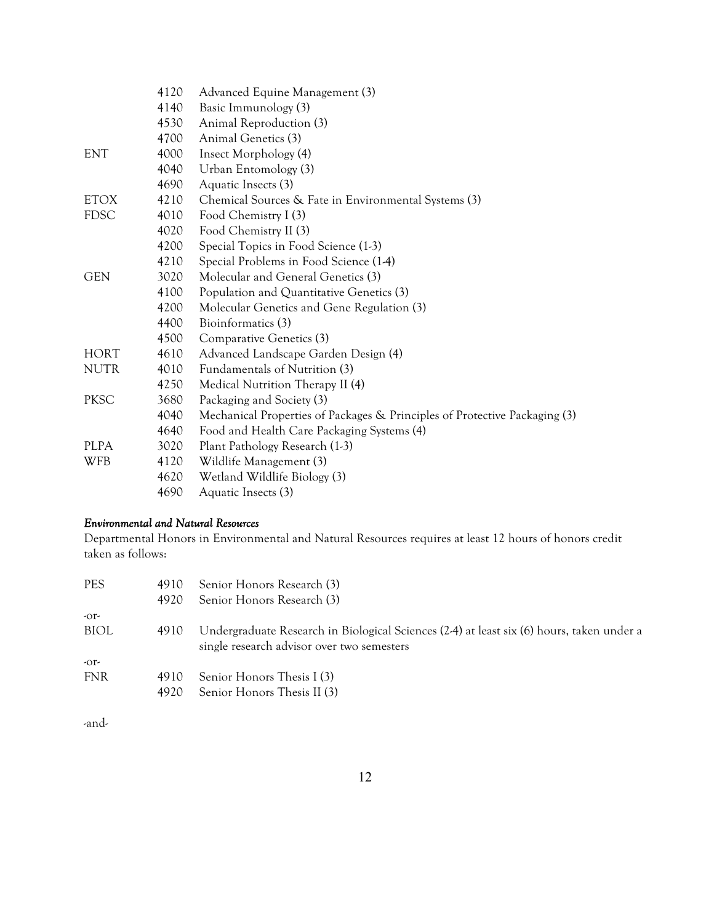|             | 4120 | Advanced Equine Management (3)                                             |
|-------------|------|----------------------------------------------------------------------------|
|             | 4140 | Basic Immunology (3)                                                       |
|             | 4530 | Animal Reproduction (3)                                                    |
|             | 4700 | Animal Genetics (3)                                                        |
| <b>ENT</b>  | 4000 | Insect Morphology (4)                                                      |
|             | 4040 | Urban Entomology (3)                                                       |
|             | 4690 | Aquatic Insects (3)                                                        |
| <b>ETOX</b> | 4210 | Chemical Sources & Fate in Environmental Systems (3)                       |
| <b>FDSC</b> | 4010 | Food Chemistry I (3)                                                       |
|             | 4020 | Food Chemistry II (3)                                                      |
|             | 4200 | Special Topics in Food Science (1-3)                                       |
|             | 4210 | Special Problems in Food Science (1-4)                                     |
| <b>GEN</b>  | 3020 | Molecular and General Genetics (3)                                         |
|             | 4100 | Population and Quantitative Genetics (3)                                   |
|             | 4200 | Molecular Genetics and Gene Regulation (3)                                 |
|             | 4400 | Bioinformatics (3)                                                         |
|             | 4500 | Comparative Genetics (3)                                                   |
| <b>HORT</b> | 4610 | Advanced Landscape Garden Design (4)                                       |
| <b>NUTR</b> | 4010 | Fundamentals of Nutrition (3)                                              |
|             | 4250 | Medical Nutrition Therapy II (4)                                           |
| <b>PKSC</b> | 3680 | Packaging and Society (3)                                                  |
|             | 4040 | Mechanical Properties of Packages & Principles of Protective Packaging (3) |
|             | 4640 | Food and Health Care Packaging Systems (4)                                 |
| <b>PLPA</b> | 3020 | Plant Pathology Research (1-3)                                             |
| <b>WFB</b>  | 4120 | Wildlife Management (3)                                                    |
|             | 4620 | Wetland Wildlife Biology (3)                                               |
|             | 4690 | Aquatic Insects (3)                                                        |

# *Environmental and Natural Resources*

Departmental Honors in Environmental and Natural Resources requires at least 12 hours of honors credit taken as follows:

| 4910 | Senior Honors Research (3)                                                                                                              |
|------|-----------------------------------------------------------------------------------------------------------------------------------------|
| 4920 | Senior Honors Research (3)                                                                                                              |
|      |                                                                                                                                         |
| 4910 | Undergraduate Research in Biological Sciences (2-4) at least six (6) hours, taken under a<br>single research advisor over two semesters |
|      |                                                                                                                                         |
| 4910 | Senior Honors Thesis I (3)                                                                                                              |
| 4920 | Senior Honors Thesis II (3)                                                                                                             |
|      |                                                                                                                                         |

-and-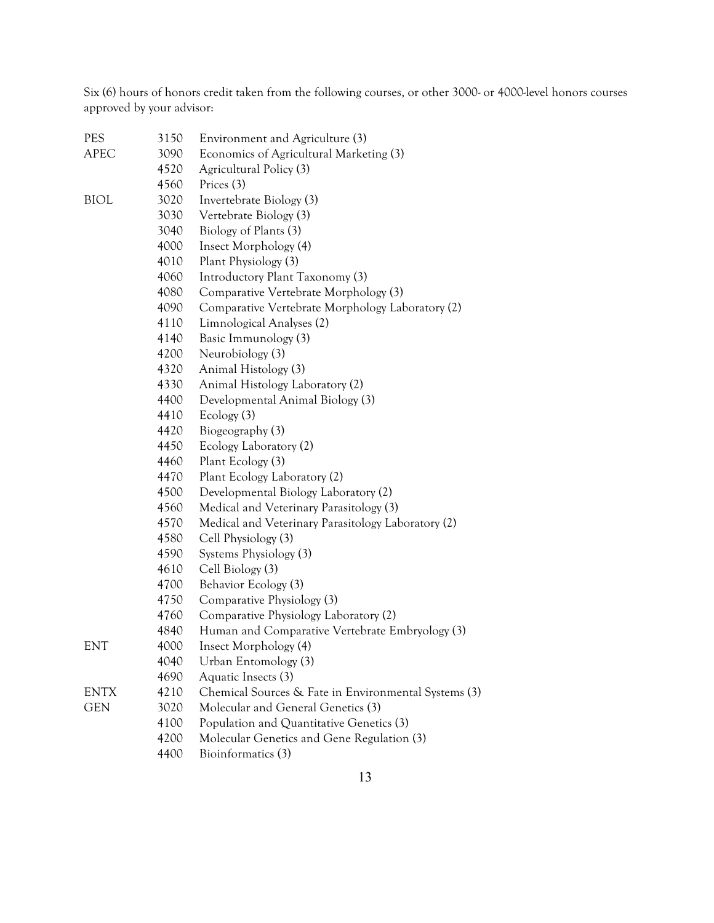Six (6) hours of honors credit taken from the following courses, or other 3000- or 4000-level honors courses approved by your advisor:

| PES         | 3150 | Environment and Agriculture (3)                      |
|-------------|------|------------------------------------------------------|
| <b>APEC</b> | 3090 | Economics of Agricultural Marketing (3)              |
|             | 4520 | Agricultural Policy (3)                              |
|             | 4560 | Prices (3)                                           |
| <b>BIOL</b> | 3020 | Invertebrate Biology (3)                             |
|             | 3030 | Vertebrate Biology (3)                               |
|             | 3040 | Biology of Plants (3)                                |
|             | 4000 | Insect Morphology (4)                                |
|             | 4010 | Plant Physiology (3)                                 |
|             | 4060 | Introductory Plant Taxonomy (3)                      |
|             | 4080 | Comparative Vertebrate Morphology (3)                |
|             | 4090 | Comparative Vertebrate Morphology Laboratory (2)     |
|             | 4110 | Limnological Analyses (2)                            |
|             | 4140 | Basic Immunology (3)                                 |
|             | 4200 | Neurobiology (3)                                     |
|             | 4320 | Animal Histology (3)                                 |
|             | 4330 | Animal Histology Laboratory (2)                      |
|             | 4400 | Developmental Animal Biology (3)                     |
|             | 4410 | Ecology (3)                                          |
|             | 4420 | Biogeography (3)                                     |
|             | 4450 | Ecology Laboratory (2)                               |
|             | 4460 | Plant Ecology (3)                                    |
|             | 4470 | Plant Ecology Laboratory (2)                         |
|             | 4500 | Developmental Biology Laboratory (2)                 |
|             | 4560 | Medical and Veterinary Parasitology (3)              |
|             | 4570 | Medical and Veterinary Parasitology Laboratory (2)   |
|             | 4580 | Cell Physiology (3)                                  |
|             | 4590 | Systems Physiology (3)                               |
|             | 4610 | Cell Biology (3)                                     |
|             | 4700 | Behavior Ecology (3)                                 |
|             | 4750 | Comparative Physiology (3)                           |
|             | 4760 | Comparative Physiology Laboratory (2)                |
|             | 4840 | Human and Comparative Vertebrate Embryology (3)      |
| <b>ENT</b>  | 4000 | Insect Morphology (4)                                |
|             | 4040 | Urban Entomology (3)                                 |
|             | 4690 | Aquatic Insects (3)                                  |
| ENTX        | 4210 | Chemical Sources & Fate in Environmental Systems (3) |
| <b>GEN</b>  | 3020 | Molecular and General Genetics (3)                   |
|             | 4100 | Population and Quantitative Genetics (3)             |
|             | 4200 | Molecular Genetics and Gene Regulation (3)           |
|             | 4400 | Bioinformatics (3)                                   |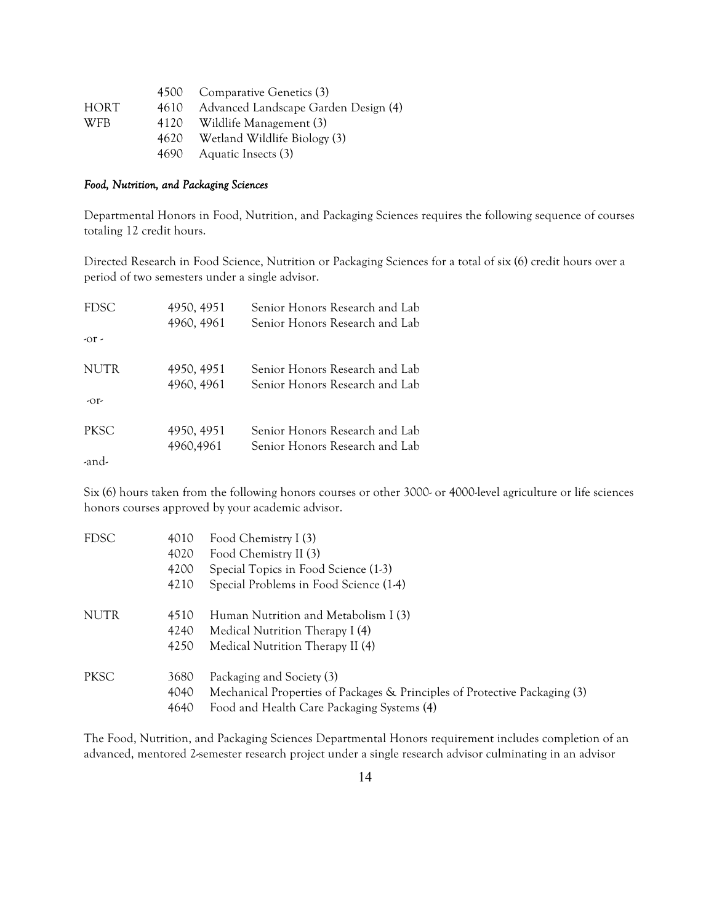|            |      | 4500 Comparative Genetics (3)        |
|------------|------|--------------------------------------|
| HORT.      | 4610 | Advanced Landscape Garden Design (4) |
| <b>WFB</b> |      | 4120 Wildlife Management (3)         |
|            |      | 4620 Wetland Wildlife Biology (3)    |
|            |      | 4690 Aquatic Insects (3)             |

#### *Food, Nutrition, and Packaging Sciences*

Departmental Honors in Food, Nutrition, and Packaging Sciences requires the following sequence of courses totaling 12 credit hours.

Directed Research in Food Science, Nutrition or Packaging Sciences for a total of six (6) credit hours over a period of two semesters under a single advisor.

| <b>FDSC</b> | 4950, 4951 | Senior Honors Research and Lab |
|-------------|------------|--------------------------------|
|             | 4960, 4961 | Senior Honors Research and Lab |
| $-0r$       |            |                                |
| <b>NUTR</b> | 4950, 4951 | Senior Honors Research and Lab |
|             | 4960, 4961 | Senior Honors Research and Lab |
| $-0r$       |            |                                |
| <b>PKSC</b> | 4950, 4951 | Senior Honors Research and Lab |
|             | 4960,4961  | Senior Honors Research and Lab |
| -and-       |            |                                |

Six (6) hours taken from the following honors courses or other 3000- or 4000-level agriculture or life sciences honors courses approved by your academic advisor.

| 4010 | Food Chemistry I (3)                                                       |
|------|----------------------------------------------------------------------------|
| 4020 | Food Chemistry II (3)                                                      |
| 4200 | Special Topics in Food Science (1-3)                                       |
| 4210 | Special Problems in Food Science (1-4)                                     |
| 4510 | Human Nutrition and Metabolism I (3)                                       |
| 4240 | Medical Nutrition Therapy I (4)                                            |
| 4250 | Medical Nutrition Therapy II (4)                                           |
| 3680 | Packaging and Society (3)                                                  |
| 4040 | Mechanical Properties of Packages & Principles of Protective Packaging (3) |
| 4640 | Food and Health Care Packaging Systems (4)                                 |
|      |                                                                            |

The Food, Nutrition, and Packaging Sciences Departmental Honors requirement includes completion of an advanced, mentored 2-semester research project under a single research advisor culminating in an advisor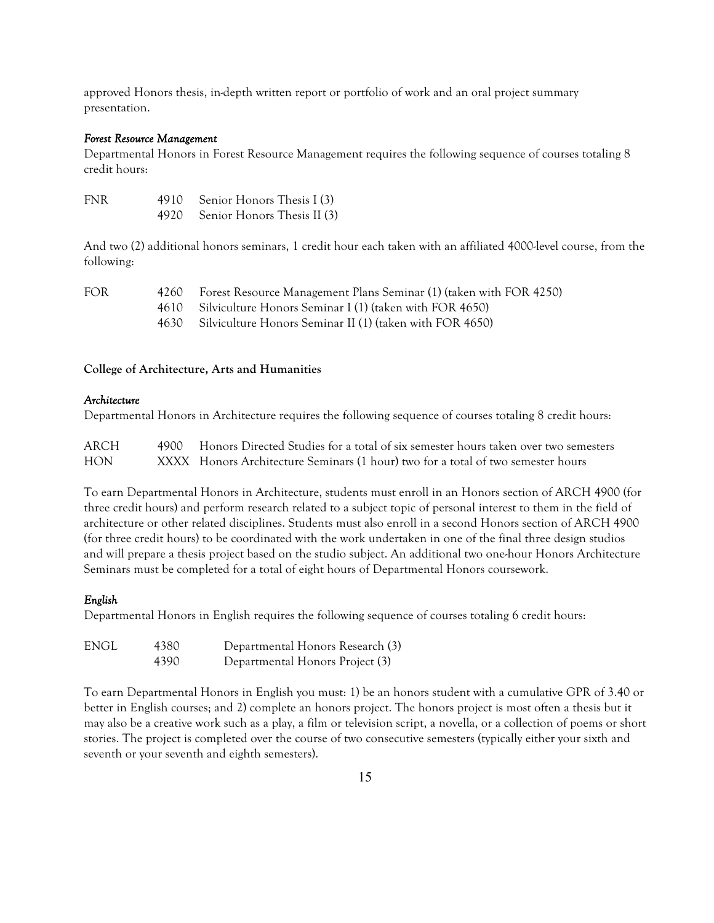approved Honors thesis, in-depth written report or portfolio of work and an oral project summary presentation.

#### *Forest Resource Management*

Departmental Honors in Forest Resource Management requires the following sequence of courses totaling 8 credit hours:

| <b>FNR</b> | 4910 Senior Honors Thesis I (3)  |
|------------|----------------------------------|
|            | 4920 Senior Honors Thesis II (3) |

And two (2) additional honors seminars, 1 credit hour each taken with an affiliated 4000-level course, from the following:

| <b>FOR</b> | 4260 Forest Resource Management Plans Seminar (1) (taken with FOR 4250) |
|------------|-------------------------------------------------------------------------|
|            | 4610 Silviculture Honors Seminar I (1) (taken with FOR 4650)            |
|            | 4630 Silviculture Honors Seminar II (1) (taken with FOR 4650)           |

### **College of Architecture, Arts and Humanities**

### *Architecture*

Departmental Honors in Architecture requires the following sequence of courses totaling 8 credit hours:

| ARCH | 4900 Honors Directed Studies for a total of six semester hours taken over two semesters |
|------|-----------------------------------------------------------------------------------------|
| HON  | XXXX Honors Architecture Seminars (1 hour) two for a total of two semester hours        |

To earn Departmental Honors in Architecture, students must enroll in an Honors section of ARCH 4900 (for three credit hours) and perform research related to a subject topic of personal interest to them in the field of architecture or other related disciplines. Students must also enroll in a second Honors section of ARCH 4900 (for three credit hours) to be coordinated with the work undertaken in one of the final three design studios and will prepare a thesis project based on the studio subject. An additional two one-hour Honors Architecture Seminars must be completed for a total of eight hours of Departmental Honors coursework.

### *English*

Departmental Honors in English requires the following sequence of courses totaling 6 credit hours:

| ENGL | 4380 | Departmental Honors Research (3) |
|------|------|----------------------------------|
|      | 4390 | Departmental Honors Project (3)  |

To earn Departmental Honors in English you must: 1) be an honors student with a cumulative GPR of 3.40 or better in English courses; and 2) complete an honors project. The honors project is most often a thesis but it may also be a creative work such as a play, a film or television script, a novella, or a collection of poems or short stories. The project is completed over the course of two consecutive semesters (typically either your sixth and seventh or your seventh and eighth semesters).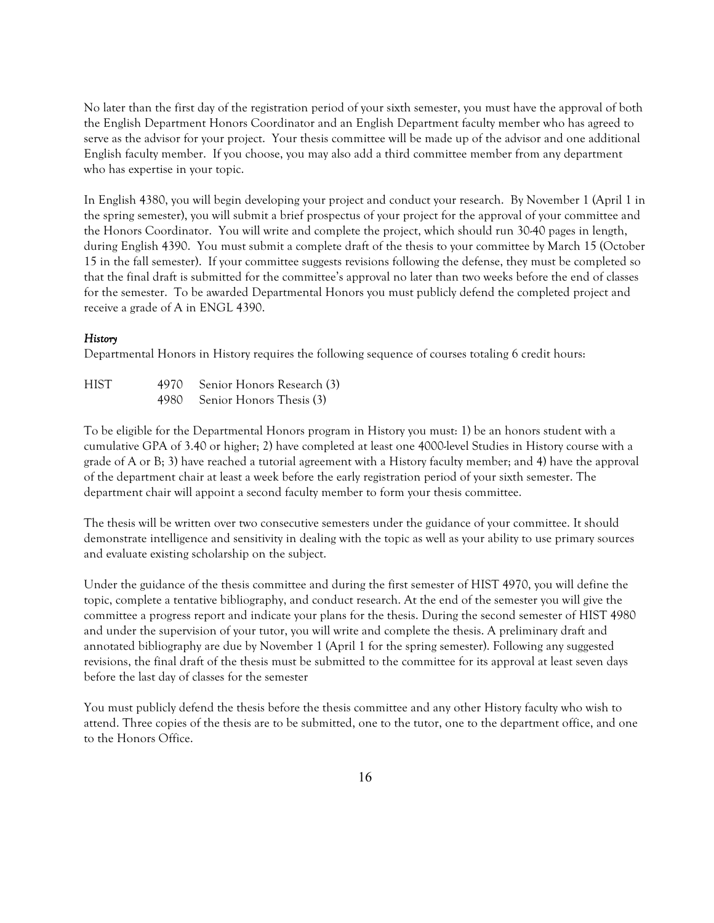No later than the first day of the registration period of your sixth semester, you must have the approval of both the English Department Honors Coordinator and an English Department faculty member who has agreed to serve as the advisor for your project. Your thesis committee will be made up of the advisor and one additional English faculty member. If you choose, you may also add a third committee member from any department who has expertise in your topic.

In English 4380, you will begin developing your project and conduct your research. By November 1 (April 1 in the spring semester), you will submit a brief prospectus of your project for the approval of your committee and the Honors Coordinator. You will write and complete the project, which should run 30-40 pages in length, during English 4390. You must submit a complete draft of the thesis to your committee by March 15 (October 15 in the fall semester). If your committee suggests revisions following the defense, they must be completed so that the final draft is submitted for the committee's approval no later than two weeks before the end of classes for the semester. To be awarded Departmental Honors you must publicly defend the completed project and receive a grade of A in ENGL 4390.

# *History*

Departmental Honors in History requires the following sequence of courses totaling 6 credit hours:

| <b>HIST</b> | 4970 Senior Honors Research (3) |
|-------------|---------------------------------|
|             | 4980 Senior Honors Thesis (3)   |

To be eligible for the Departmental Honors program in History you must: 1) be an honors student with a cumulative GPA of 3.40 or higher; 2) have completed at least one 4000-level Studies in History course with a grade of A or B; 3) have reached a tutorial agreement with a History faculty member; and 4) have the approval of the department chair at least a week before the early registration period of your sixth semester. The department chair will appoint a second faculty member to form your thesis committee.

The thesis will be written over two consecutive semesters under the guidance of your committee. It should demonstrate intelligence and sensitivity in dealing with the topic as well as your ability to use primary sources and evaluate existing scholarship on the subject.

Under the guidance of the thesis committee and during the first semester of HIST 4970, you will define the topic, complete a tentative bibliography, and conduct research. At the end of the semester you will give the committee a progress report and indicate your plans for the thesis. During the second semester of HIST 4980 and under the supervision of your tutor, you will write and complete the thesis. A preliminary draft and annotated bibliography are due by November 1 (April 1 for the spring semester). Following any suggested revisions, the final draft of the thesis must be submitted to the committee for its approval at least seven days before the last day of classes for the semester

You must publicly defend the thesis before the thesis committee and any other History faculty who wish to attend. Three copies of the thesis are to be submitted, one to the tutor, one to the department office, and one to the Honors Office.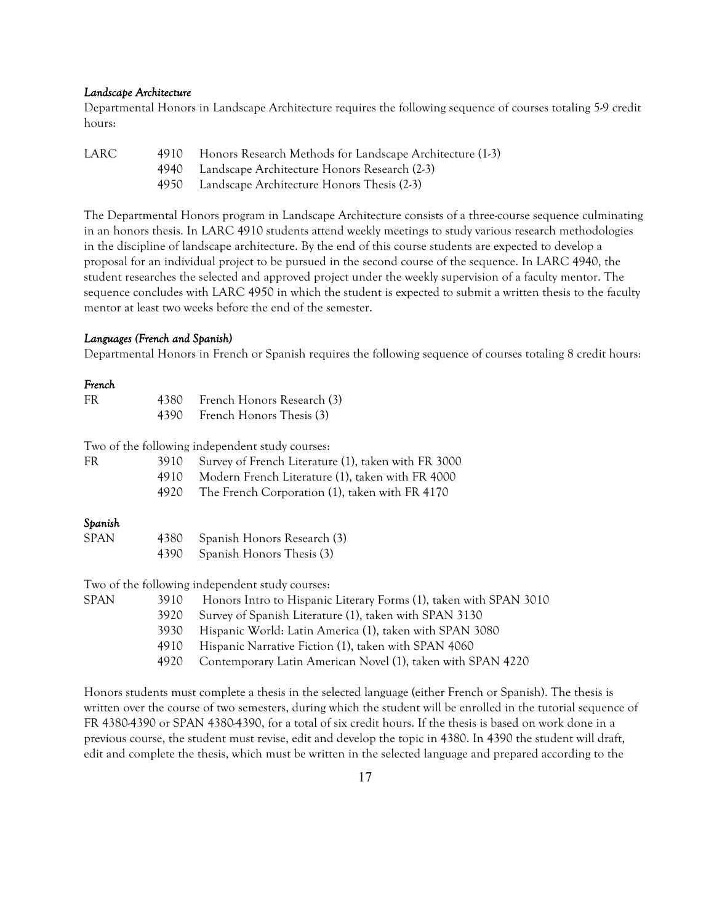#### *Landscape Architecture*

Departmental Honors in Landscape Architecture requires the following sequence of courses totaling 5-9 credit hours:

| LARC | 4910 Honors Research Methods for Landscape Architecture (1-3) |
|------|---------------------------------------------------------------|
|      | 4940 Landscape Architecture Honors Research (2-3)             |
|      | 4950 Landscape Architecture Honors Thesis (2-3)               |

The Departmental Honors program in Landscape Architecture consists of a three-course sequence culminating in an honors thesis. In LARC 4910 students attend weekly meetings to study various research methodologies in the discipline of landscape architecture. By the end of this course students are expected to develop a proposal for an individual project to be pursued in the second course of the sequence. In LARC 4940, the student researches the selected and approved project under the weekly supervision of a faculty mentor. The sequence concludes with LARC 4950 in which the student is expected to submit a written thesis to the faculty mentor at least two weeks before the end of the semester.

#### *Languages (French and Spanish)*

Departmental Honors in French or Spanish requires the following sequence of courses totaling 8 credit hours:

#### *French*

| FR | 4380 French Honors Research (3) |
|----|---------------------------------|
|    | 4390 French Honors Thesis (3)   |

Two of the following independent study courses:

| FR | 3910 Survey of French Literature (1), taken with FR 3000 |
|----|----------------------------------------------------------|
|    | 4910 Modern French Literature (1), taken with FR 4000    |
|    | 4920 The French Corporation (1), taken with FR 4170      |

#### *Spanish*

| SPAN | 4380 Spanish Honors Research (3) |
|------|----------------------------------|
|      | 4390 Spanish Honors Thesis (3)   |

Two of the following independent study courses:

| SPAN | 3910 | Honors Intro to Hispanic Literary Forms (1), taken with SPAN 3010 |
|------|------|-------------------------------------------------------------------|
|      | 3920 | Survey of Spanish Literature (1), taken with SPAN 3130            |
|      | 3930 | Hispanic World: Latin America (1), taken with SPAN 3080           |
|      | 4910 | Hispanic Narrative Fiction (1), taken with SPAN 4060              |
|      | 4920 | Contemporary Latin American Novel (1), taken with SPAN 4220       |
|      |      |                                                                   |

Honors students must complete a thesis in the selected language (either French or Spanish). The thesis is written over the course of two semesters, during which the student will be enrolled in the tutorial sequence of FR 4380-4390 or SPAN 4380-4390, for a total of six credit hours. If the thesis is based on work done in a previous course, the student must revise, edit and develop the topic in 4380. In 4390 the student will draft, edit and complete the thesis, which must be written in the selected language and prepared according to the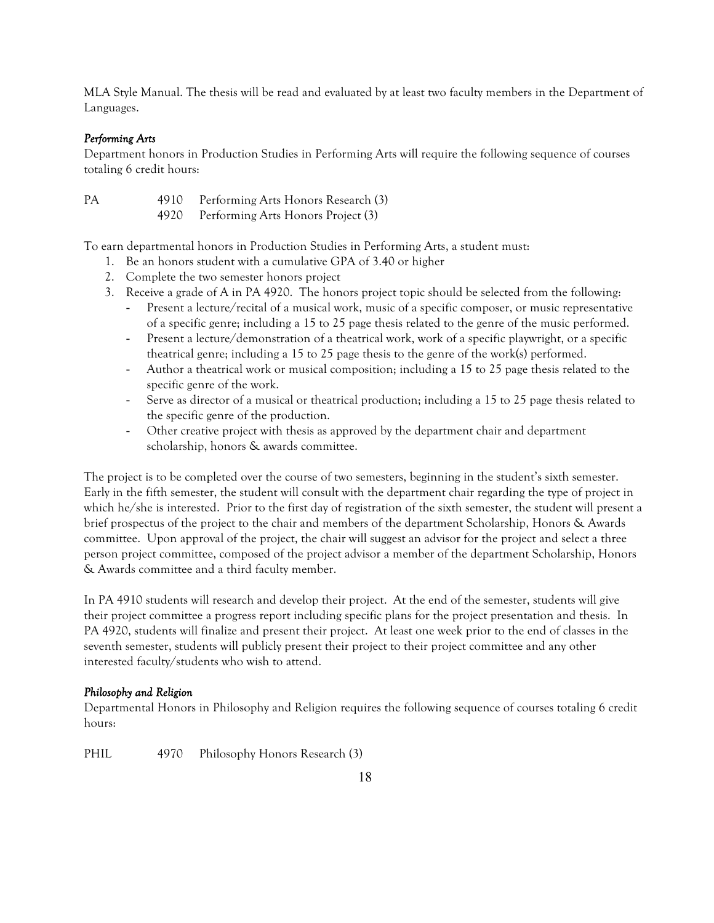MLA Style Manual. The thesis will be read and evaluated by at least two faculty members in the Department of Languages.

# *Performing Arts*

Department honors in Production Studies in Performing Arts will require the following sequence of courses totaling 6 credit hours:

PA 4910 Performing Arts Honors Research (3) 4920 Performing Arts Honors Project (3)

To earn departmental honors in Production Studies in Performing Arts, a student must:

- 1. Be an honors student with a cumulative GPA of 3.40 or higher
- 2. Complete the two semester honors project
- 3. Receive a grade of A in PA 4920. The honors project topic should be selected from the following:
	- Present a lecture/recital of a musical work, music of a specific composer, or music representative of a specific genre; including a 15 to 25 page thesis related to the genre of the music performed.
	- Present a lecture/demonstration of a theatrical work, work of a specific playwright, or a specific theatrical genre; including a 15 to 25 page thesis to the genre of the work(s) performed.
	- Author a theatrical work or musical composition; including a 15 to 25 page thesis related to the specific genre of the work.
	- Serve as director of a musical or theatrical production; including a 15 to 25 page thesis related to the specific genre of the production.
	- Other creative project with thesis as approved by the department chair and department scholarship, honors & awards committee.

The project is to be completed over the course of two semesters, beginning in the student's sixth semester. Early in the fifth semester, the student will consult with the department chair regarding the type of project in which he/she is interested. Prior to the first day of registration of the sixth semester, the student will present a brief prospectus of the project to the chair and members of the department Scholarship, Honors & Awards committee. Upon approval of the project, the chair will suggest an advisor for the project and select a three person project committee, composed of the project advisor a member of the department Scholarship, Honors & Awards committee and a third faculty member.

In PA 4910 students will research and develop their project. At the end of the semester, students will give their project committee a progress report including specific plans for the project presentation and thesis. In PA 4920, students will finalize and present their project. At least one week prior to the end of classes in the seventh semester, students will publicly present their project to their project committee and any other interested faculty/students who wish to attend.

# *Philosophy and Religion*

Departmental Honors in Philosophy and Religion requires the following sequence of courses totaling 6 credit hours:

PHIL 4970 Philosophy Honors Research (3)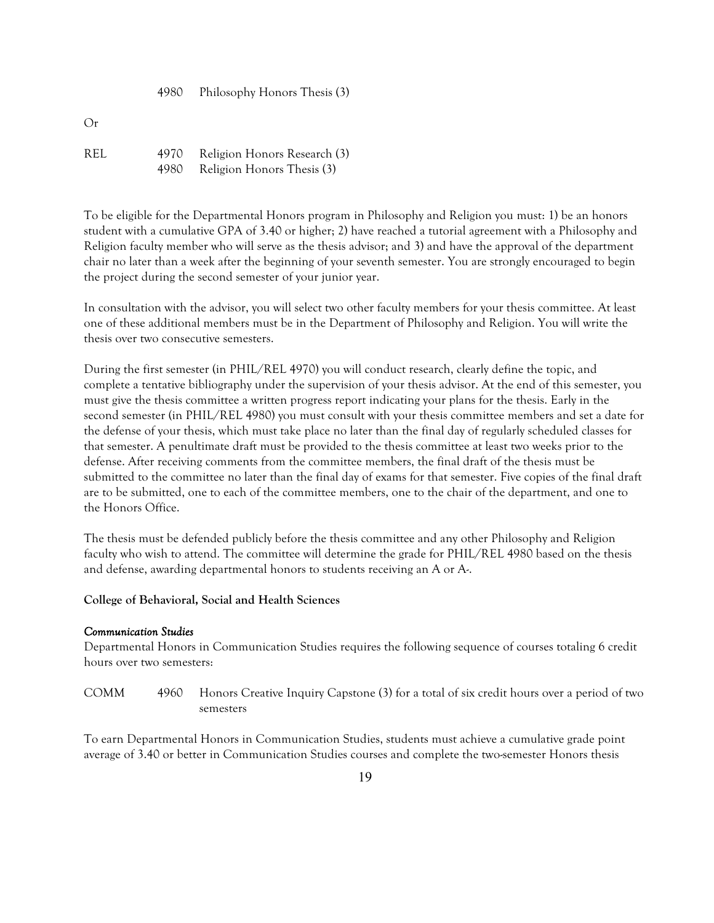4980 Philosophy Honors Thesis (3)

REL 4970 Religion Honors Research (3) 4980 Religion Honors Thesis (3)

To be eligible for the Departmental Honors program in Philosophy and Religion you must: 1) be an honors student with a cumulative GPA of 3.40 or higher; 2) have reached a tutorial agreement with a Philosophy and Religion faculty member who will serve as the thesis advisor; and 3) and have the approval of the department chair no later than a week after the beginning of your seventh semester. You are strongly encouraged to begin the project during the second semester of your junior year.

In consultation with the advisor, you will select two other faculty members for your thesis committee. At least one of these additional members must be in the Department of Philosophy and Religion. You will write the thesis over two consecutive semesters.

During the first semester (in PHIL/REL 4970) you will conduct research, clearly define the topic, and complete a tentative bibliography under the supervision of your thesis advisor. At the end of this semester, you must give the thesis committee a written progress report indicating your plans for the thesis. Early in the second semester (in PHIL/REL 4980) you must consult with your thesis committee members and set a date for the defense of your thesis, which must take place no later than the final day of regularly scheduled classes for that semester. A penultimate draft must be provided to the thesis committee at least two weeks prior to the defense. After receiving comments from the committee members, the final draft of the thesis must be submitted to the committee no later than the final day of exams for that semester. Five copies of the final draft are to be submitted, one to each of the committee members, one to the chair of the department, and one to the Honors Office.

The thesis must be defended publicly before the thesis committee and any other Philosophy and Religion faculty who wish to attend. The committee will determine the grade for PHIL/REL 4980 based on the thesis and defense, awarding departmental honors to students receiving an A or A-.

# **College of Behavioral, Social and Health Sciences**

### *Communication Studies*

Departmental Honors in Communication Studies requires the following sequence of courses totaling 6 credit hours over two semesters:

COMM 4960 Honors Creative Inquiry Capstone (3) for a total of six credit hours over a period of two semesters

To earn Departmental Honors in Communication Studies, students must achieve a cumulative grade point average of 3.40 or better in Communication Studies courses and complete the two-semester Honors thesis

Or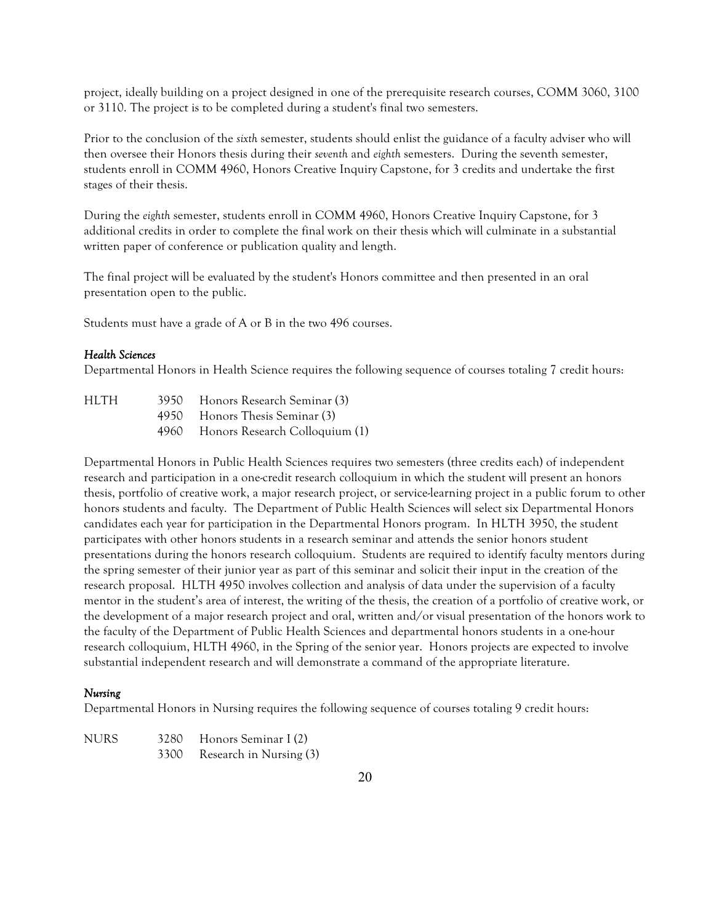project, ideally building on a project designed in one of the prerequisite research courses, COMM 3060, 3100 or 3110. The project is to be completed during a student's final two semesters.

Prior to the conclusion of the *sixth* semester, students should enlist the guidance of a faculty adviser who will then oversee their Honors thesis during their *seventh* and *eighth* semesters. During the seventh semester, students enroll in COMM 4960, Honors Creative Inquiry Capstone, for 3 credits and undertake the first stages of their thesis.

During the *eighth* semester, students enroll in COMM 4960, Honors Creative Inquiry Capstone, for 3 additional credits in order to complete the final work on their thesis which will culminate in a substantial written paper of conference or publication quality and length.

The final project will be evaluated by the student's Honors committee and then presented in an oral presentation open to the public.

Students must have a grade of A or B in the two 496 courses.

### *Health Sciences*

Departmental Honors in Health Science requires the following sequence of courses totaling 7 credit hours:

| <b>HLTH</b> | 3950 Honors Research Seminar (3)    |
|-------------|-------------------------------------|
|             | 4950 Honors Thesis Seminar (3)      |
|             | 4960 Honors Research Colloquium (1) |

Departmental Honors in Public Health Sciences requires two semesters (three credits each) of independent research and participation in a one-credit research colloquium in which the student will present an honors thesis, portfolio of creative work, a major research project, or service-learning project in a public forum to other honors students and faculty. The Department of Public Health Sciences will select six Departmental Honors candidates each year for participation in the Departmental Honors program. In HLTH 3950, the student participates with other honors students in a research seminar and attends the senior honors student presentations during the honors research colloquium. Students are required to identify faculty mentors during the spring semester of their junior year as part of this seminar and solicit their input in the creation of the research proposal. HLTH 4950 involves collection and analysis of data under the supervision of a faculty mentor in the student's area of interest, the writing of the thesis, the creation of a portfolio of creative work, or the development of a major research project and oral, written and/or visual presentation of the honors work to the faculty of the Department of Public Health Sciences and departmental honors students in a one-hour research colloquium, HLTH 4960, in the Spring of the senior year. Honors projects are expected to involve substantial independent research and will demonstrate a command of the appropriate literature.

#### *Nursing*

Departmental Honors in Nursing requires the following sequence of courses totaling 9 credit hours:

NURS 3280 Honors Seminar I (2) 3300 Research in Nursing (3)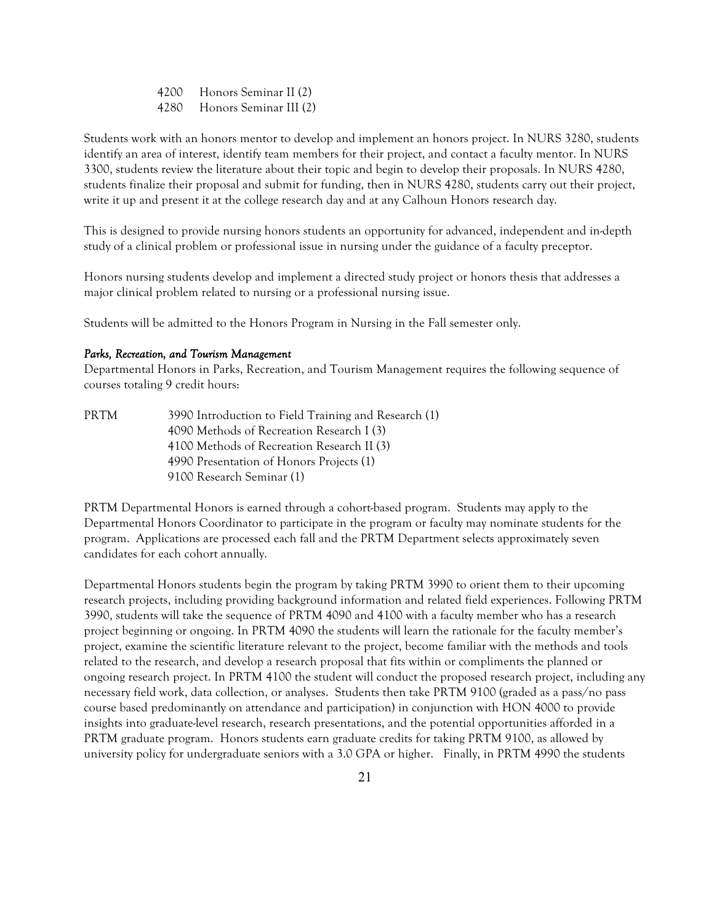4200 Honors Seminar II (2) 4280 Honors Seminar III (2)

Students work with an honors mentor to develop and implement an honors project. In NURS 3280, students identify an area of interest, identify team members for their project, and contact a faculty mentor. In NURS 3300, students review the literature about their topic and begin to develop their proposals. In NURS 4280, students finalize their proposal and submit for funding, then in NURS 4280, students carry out their project, write it up and present it at the college research day and at any Calhoun Honors research day.

This is designed to provide nursing honors students an opportunity for advanced, independent and in-depth study of a clinical problem or professional issue in nursing under the guidance of a faculty preceptor.

Honors nursing students develop and implement a directed study project or honors thesis that addresses a major clinical problem related to nursing or a professional nursing issue.

Students will be admitted to the Honors Program in Nursing in the Fall semester only.

#### *Parks, Recreation, and Tourism Management*

Departmental Honors in Parks, Recreation, and Tourism Management requires the following sequence of courses totaling 9 credit hours:

| PRTM | 3990 Introduction to Field Training and Research (1) |
|------|------------------------------------------------------|
|      | 4090 Methods of Recreation Research I (3)            |
|      | 4100 Methods of Recreation Research II (3)           |
|      | 4990 Presentation of Honors Projects (1)             |
|      | 9100 Research Seminar (1)                            |

PRTM Departmental Honors is earned through a cohort-based program. Students may apply to the Departmental Honors Coordinator to participate in the program or faculty may nominate students for the program. Applications are processed each fall and the PRTM Department selects approximately seven candidates for each cohort annually.

Departmental Honors students begin the program by taking PRTM 3990 to orient them to their upcoming research projects, including providing background information and related field experiences. Following PRTM 3990, students will take the sequence of PRTM 4090 and 4100 with a faculty member who has a research project beginning or ongoing. In PRTM 4090 the students will learn the rationale for the faculty member's project, examine the scientific literature relevant to the project, become familiar with the methods and tools related to the research, and develop a research proposal that fits within or compliments the planned or ongoing research project. In PRTM 4100 the student will conduct the proposed research project, including any necessary field work, data collection, or analyses. Students then take PRTM 9100 (graded as a pass/no pass course based predominantly on attendance and participation) in conjunction with HON 4000 to provide insights into graduate-level research, research presentations, and the potential opportunities afforded in a PRTM graduate program. Honors students earn graduate credits for taking PRTM 9100, as allowed by university policy for undergraduate seniors with a 3.0 GPA or higher. Finally, in PRTM 4990 the students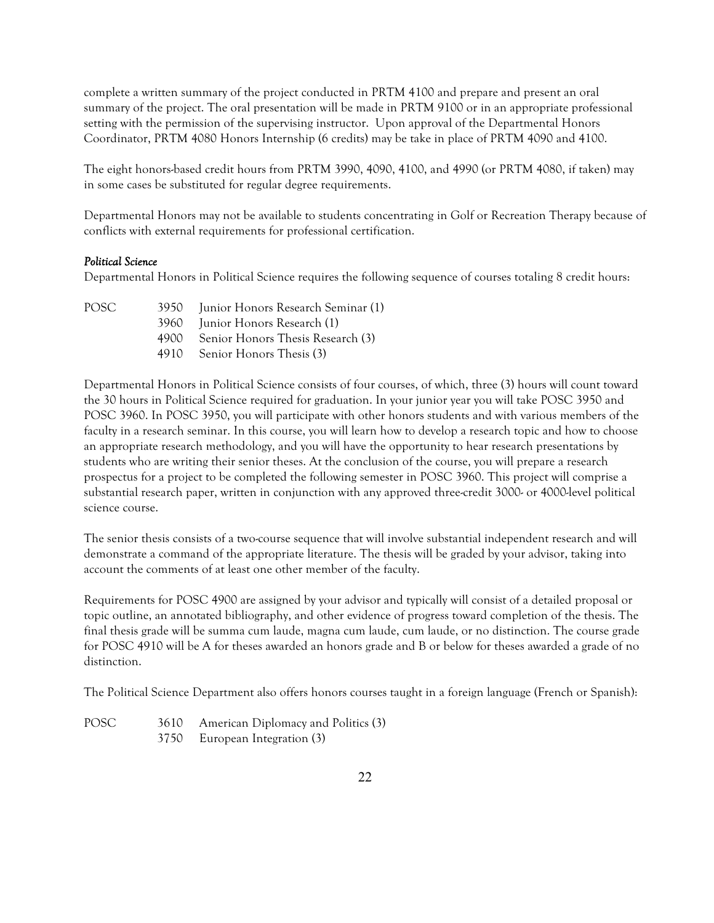complete a written summary of the project conducted in PRTM 4100 and prepare and present an oral summary of the project. The oral presentation will be made in PRTM 9100 or in an appropriate professional setting with the permission of the supervising instructor. Upon approval of the Departmental Honors Coordinator, PRTM 4080 Honors Internship (6 credits) may be take in place of PRTM 4090 and 4100.

The eight honors-based credit hours from PRTM 3990, 4090, 4100, and 4990 (or PRTM 4080, if taken) may in some cases be substituted for regular degree requirements.

Departmental Honors may not be available to students concentrating in Golf or Recreation Therapy because of conflicts with external requirements for professional certification.

### *Political Science*

Departmental Honors in Political Science requires the following sequence of courses totaling 8 credit hours:

| POSC <sub>2</sub> | 3950 Junior Honors Research Seminar (1) |
|-------------------|-----------------------------------------|
|                   | 3960 Junior Honors Research (1)         |
|                   | 4900 Senior Honors Thesis Research (3)  |

4910 Senior Honors Thesis (3)

Departmental Honors in Political Science consists of four courses, of which, three (3) hours will count toward the 30 hours in Political Science required for graduation. In your junior year you will take POSC 3950 and POSC 3960. In POSC 3950, you will participate with other honors students and with various members of the faculty in a research seminar. In this course, you will learn how to develop a research topic and how to choose an appropriate research methodology, and you will have the opportunity to hear research presentations by students who are writing their senior theses. At the conclusion of the course, you will prepare a research prospectus for a project to be completed the following semester in POSC 3960. This project will comprise a substantial research paper, written in conjunction with any approved three-credit 3000- or 4000-level political science course.

The senior thesis consists of a two-course sequence that will involve substantial independent research and will demonstrate a command of the appropriate literature. The thesis will be graded by your advisor, taking into account the comments of at least one other member of the faculty.

Requirements for POSC 4900 are assigned by your advisor and typically will consist of a detailed proposal or topic outline, an annotated bibliography, and other evidence of progress toward completion of the thesis. The final thesis grade will be summa cum laude, magna cum laude, cum laude, or no distinction. The course grade for POSC 4910 will be A for theses awarded an honors grade and B or below for theses awarded a grade of no distinction.

The Political Science Department also offers honors courses taught in a foreign language (French or Spanish):

POSC 3610 American Diplomacy and Politics (3) 3750 European Integration (3)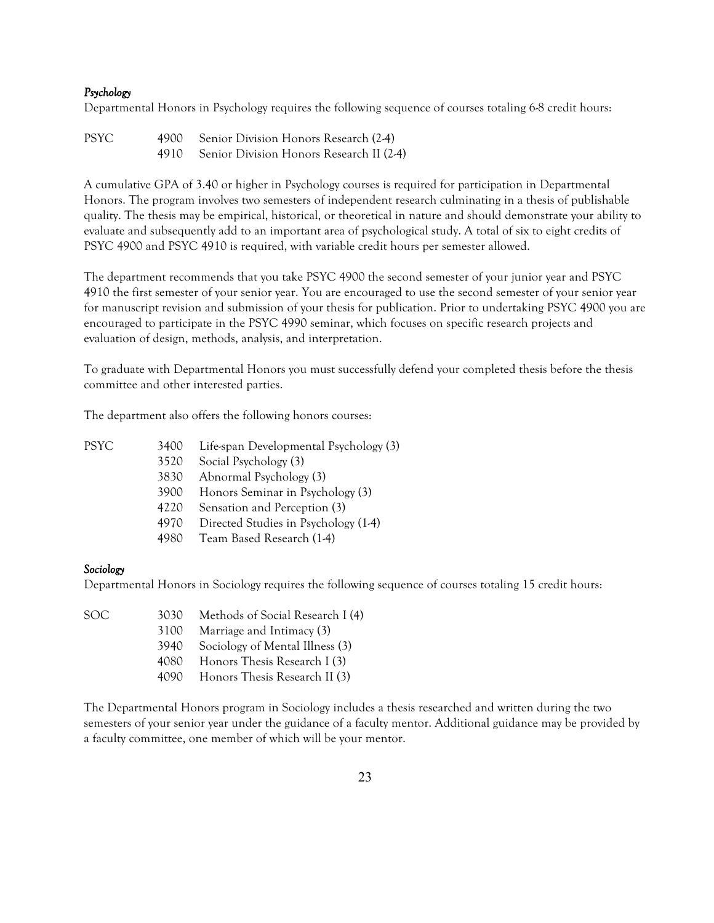### *Psychology*

Departmental Honors in Psychology requires the following sequence of courses totaling 6-8 credit hours:

| PSYC. | 4900 Senior Division Honors Research (2-4)    |
|-------|-----------------------------------------------|
|       | 4910 Senior Division Honors Research II (2-4) |

A cumulative GPA of 3.40 or higher in Psychology courses is required for participation in Departmental Honors. The program involves two semesters of independent research culminating in a thesis of publishable quality. The thesis may be empirical, historical, or theoretical in nature and should demonstrate your ability to evaluate and subsequently add to an important area of psychological study. A total of six to eight credits of PSYC 4900 and PSYC 4910 is required, with variable credit hours per semester allowed.

The department recommends that you take PSYC 4900 the second semester of your junior year and PSYC 4910 the first semester of your senior year. You are encouraged to use the second semester of your senior year for manuscript revision and submission of your thesis for publication. Prior to undertaking PSYC 4900 you are encouraged to participate in the PSYC 4990 seminar, which focuses on specific research projects and evaluation of design, methods, analysis, and interpretation.

To graduate with Departmental Honors you must successfully defend your completed thesis before the thesis committee and other interested parties.

The department also offers the following honors courses:

| PSYC | 3400 | Life-span Developmental Psychology (3) |
|------|------|----------------------------------------|
|      | 3520 | Social Psychology (3)                  |
|      | 3830 | Abnormal Psychology (3)                |
|      | 3900 | Honors Seminar in Psychology (3)       |
|      | 4220 | Sensation and Perception (3)           |
|      | 4970 | Directed Studies in Psychology (1-4)   |
|      | 4980 | Team Based Research (1-4)              |

#### *Sociology*

Departmental Honors in Sociology requires the following sequence of courses totaling 15 credit hours:

|  | Methods of Social Research I (4) |
|--|----------------------------------|

- 3100 Marriage and Intimacy (3)
	- 3940 Sociology of Mental Illness (3)
	- 4080 Honors Thesis Research I (3)
	- 4090 Honors Thesis Research II (3)

The Departmental Honors program in Sociology includes a thesis researched and written during the two semesters of your senior year under the guidance of a faculty mentor. Additional guidance may be provided by a faculty committee, one member of which will be your mentor.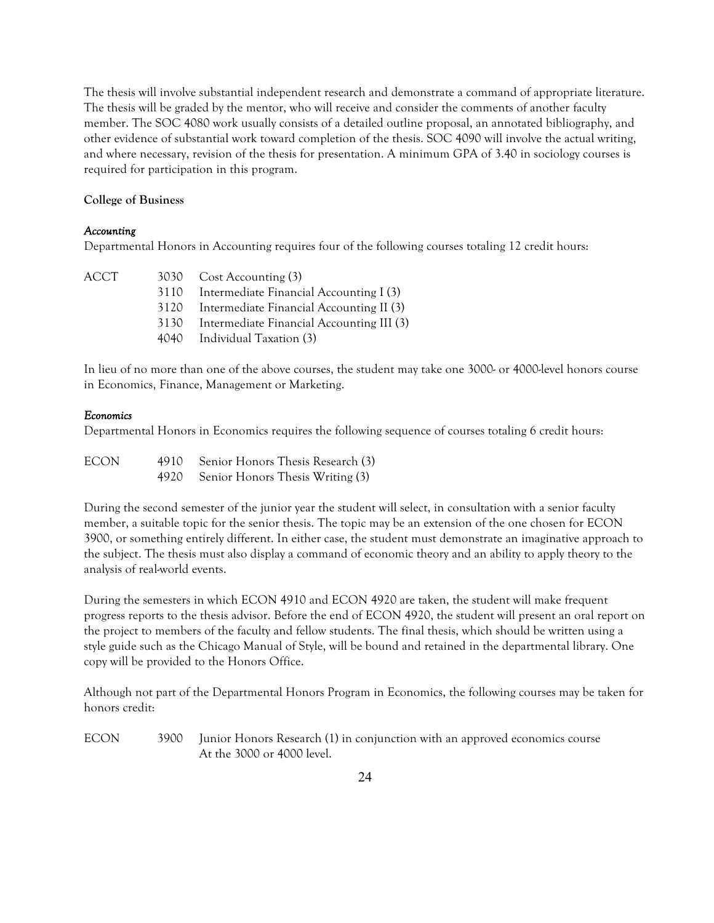The thesis will involve substantial independent research and demonstrate a command of appropriate literature. The thesis will be graded by the mentor, who will receive and consider the comments of another faculty member. The SOC 4080 work usually consists of a detailed outline proposal, an annotated bibliography, and other evidence of substantial work toward completion of the thesis. SOC 4090 will involve the actual writing, and where necessary, revision of the thesis for presentation. A minimum GPA of 3.40 in sociology courses is required for participation in this program.

### **College of Business**

# *Accounting*

Departmental Honors in Accounting requires four of the following courses totaling 12 credit hours:

|      | 3030 Cost Accounting (3)                     |
|------|----------------------------------------------|
|      | 3110 Intermediate Financial Accounting I (3) |
| 3120 | Intermediate Financial Accounting II (3)     |
| 3130 | Intermediate Financial Accounting III (3)    |
|      | 4040 Individual Taxation (3)                 |
|      |                                              |

In lieu of no more than one of the above courses, the student may take one 3000- or 4000-level honors course in Economics, Finance, Management or Marketing.

# *Economics*

Departmental Honors in Economics requires the following sequence of courses totaling 6 credit hours:

| <b>ECON</b> | 4910 Senior Honors Thesis Research (3) |
|-------------|----------------------------------------|
|             | 4920 Senior Honors Thesis Writing (3)  |

During the second semester of the junior year the student will select, in consultation with a senior faculty member, a suitable topic for the senior thesis. The topic may be an extension of the one chosen for ECON 3900, or something entirely different. In either case, the student must demonstrate an imaginative approach to the subject. The thesis must also display a command of economic theory and an ability to apply theory to the analysis of real-world events.

During the semesters in which ECON 4910 and ECON 4920 are taken, the student will make frequent progress reports to the thesis advisor. Before the end of ECON 4920, the student will present an oral report on the project to members of the faculty and fellow students. The final thesis, which should be written using a style guide such as the Chicago Manual of Style, will be bound and retained in the departmental library. One copy will be provided to the Honors Office.

Although not part of the Departmental Honors Program in Economics, the following courses may be taken for honors credit:

ECON 3900 Junior Honors Research (1) in conjunction with an approved economics course At the 3000 or 4000 level.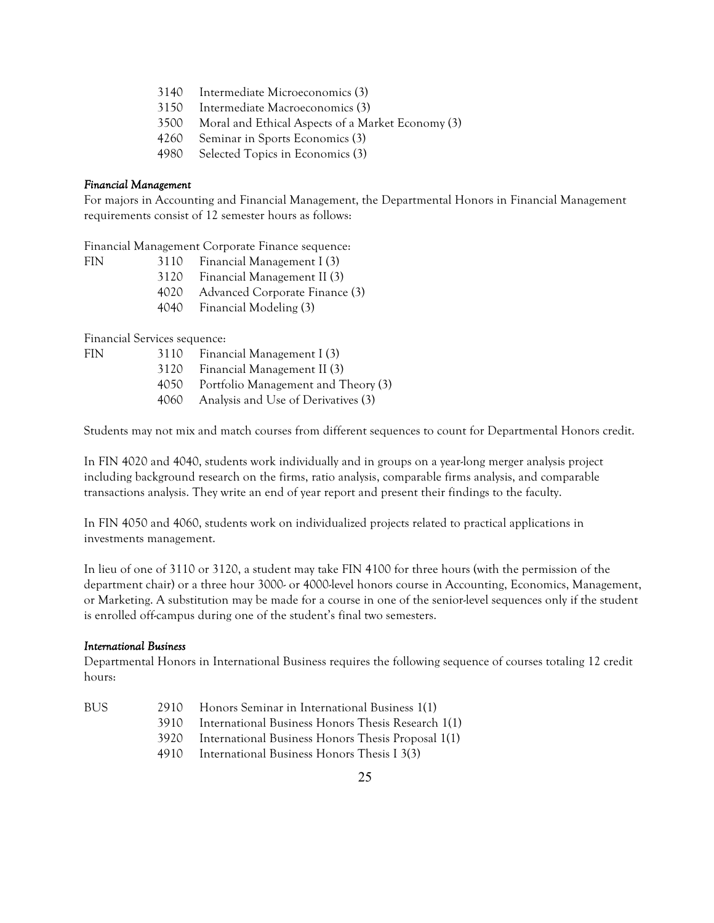- 3140 Intermediate Microeconomics (3)
- 3150 Intermediate Macroeconomics (3)
- 3500 Moral and Ethical Aspects of a Market Economy (3)
- 4260 Seminar in Sports Economics (3)
- 4980 Selected Topics in Economics (3)

### *Financial Management*

For majors in Accounting and Financial Management, the Departmental Honors in Financial Management requirements consist of 12 semester hours as follows:

Financial Management Corporate Finance sequence:

| FIN. | 3110 | Financial Management I (3)          |
|------|------|-------------------------------------|
|      |      | 3120 Financial Management II (3)    |
|      |      | 4020 Advanced Corporate Finance (3) |

4040 Financial Modeling (3)

Financial Services sequence:

- FIN 3110 Financial Management I (3)
	- 3120 Financial Management II (3)
	- 4050 Portfolio Management and Theory (3)
	- 4060 Analysis and Use of Derivatives (3)

Students may not mix and match courses from different sequences to count for Departmental Honors credit.

In FIN 4020 and 4040, students work individually and in groups on a year-long merger analysis project including background research on the firms, ratio analysis, comparable firms analysis, and comparable transactions analysis. They write an end of year report and present their findings to the faculty.

In FIN 4050 and 4060, students work on individualized projects related to practical applications in investments management.

In lieu of one of 3110 or 3120, a student may take FIN 4100 for three hours (with the permission of the department chair) or a three hour 3000- or 4000-level honors course in Accounting, Economics, Management, or Marketing. A substitution may be made for a course in one of the senior-level sequences only if the student is enrolled off-campus during one of the student's final two semesters.

### *International Business*

Departmental Honors in International Business requires the following sequence of courses totaling 12 credit hours:

| Honors Seminar in International Business 1(1)<br>BUS<br>2910 |  |  |  |
|--------------------------------------------------------------|--|--|--|
|--------------------------------------------------------------|--|--|--|

3910 International Business Honors Thesis Research 1(1)

- 3920 International Business Honors Thesis Proposal 1(1)
- 4910 International Business Honors Thesis I 3(3)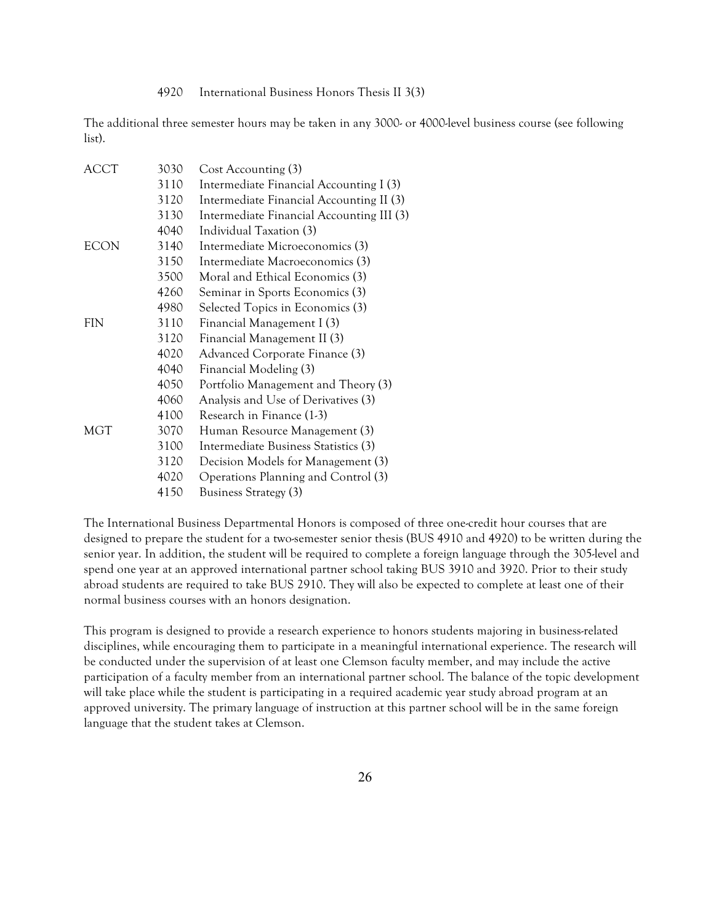4920 International Business Honors Thesis II 3(3)

The additional three semester hours may be taken in any 3000- or 4000-level business course (see following list).

| ACCT | 3030 | Cost Accounting (3)                       |
|------|------|-------------------------------------------|
|      | 3110 | Intermediate Financial Accounting I (3)   |
|      | 3120 | Intermediate Financial Accounting II (3)  |
|      | 3130 | Intermediate Financial Accounting III (3) |
|      | 4040 | Individual Taxation (3)                   |
| ECON | 3140 | Intermediate Microeconomics (3)           |
|      | 3150 | Intermediate Macroeconomics (3)           |
|      | 3500 | Moral and Ethical Economics (3)           |
|      | 4260 | Seminar in Sports Economics (3)           |
|      | 4980 | Selected Topics in Economics (3)          |
| FIN  | 3110 | Financial Management I (3)                |
|      | 3120 | Financial Management II (3)               |
|      | 4020 | Advanced Corporate Finance (3)            |
|      | 4040 | Financial Modeling (3)                    |
|      | 4050 | Portfolio Management and Theory (3)       |
|      | 4060 | Analysis and Use of Derivatives (3)       |
|      | 4100 | Research in Finance (1-3)                 |
| MGT  | 3070 | Human Resource Management (3)             |
|      | 3100 | Intermediate Business Statistics (3)      |
|      | 3120 | Decision Models for Management (3)        |
|      | 4020 | Operations Planning and Control (3)       |
|      | 4150 | Business Strategy (3)                     |
|      |      |                                           |

The International Business Departmental Honors is composed of three one-credit hour courses that are designed to prepare the student for a two-semester senior thesis (BUS 4910 and 4920) to be written during the senior year. In addition, the student will be required to complete a foreign language through the 305-level and spend one year at an approved international partner school taking BUS 3910 and 3920. Prior to their study abroad students are required to take BUS 2910. They will also be expected to complete at least one of their normal business courses with an honors designation.

This program is designed to provide a research experience to honors students majoring in business-related disciplines, while encouraging them to participate in a meaningful international experience. The research will be conducted under the supervision of at least one Clemson faculty member, and may include the active participation of a faculty member from an international partner school. The balance of the topic development will take place while the student is participating in a required academic year study abroad program at an approved university. The primary language of instruction at this partner school will be in the same foreign language that the student takes at Clemson.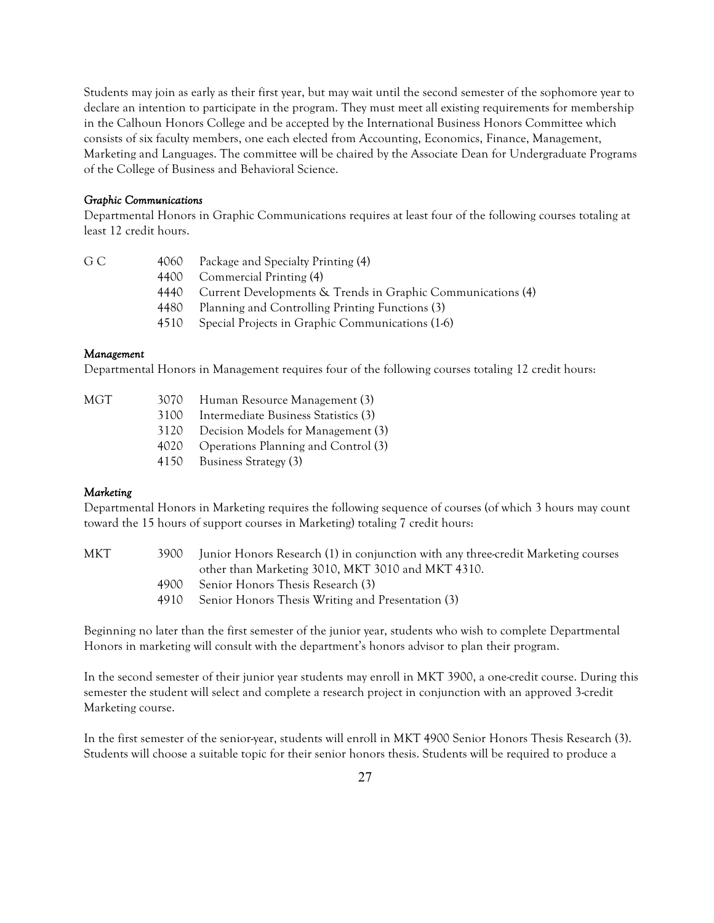Students may join as early as their first year, but may wait until the second semester of the sophomore year to declare an intention to participate in the program. They must meet all existing requirements for membership in the Calhoun Honors College and be accepted by the International Business Honors Committee which consists of six faculty members, one each elected from Accounting, Economics, Finance, Management, Marketing and Languages. The committee will be chaired by the Associate Dean for Undergraduate Programs of the College of Business and Behavioral Science.

#### *Graphic Communications*

Departmental Honors in Graphic Communications requires at least four of the following courses totaling at least 12 credit hours.

| $\sim$<br>۰.<br>۰.<br>×<br>v | ۰,<br>٠<br>., |  |
|------------------------------|---------------|--|
|                              |               |  |

- 4060 Package and Specialty Printing (4)
	- 4400 Commercial Printing (4)
	- 4440 Current Developments & Trends in Graphic Communications (4)
	- 4480 Planning and Controlling Printing Functions (3)
	- 4510 Special Projects in Graphic Communications (1-6)

### *Management*

Departmental Honors in Management requires four of the following courses totaling 12 credit hours:

| MGT | 3070 | Human Resource Management (3)            |
|-----|------|------------------------------------------|
|     | 3100 | Intermediate Business Statistics (3)     |
|     |      | 3120 Decision Models for Management (3)  |
|     |      | 4020 Operations Planning and Control (3) |
|     | 4150 | <b>Business Strategy (3)</b>             |

### *Marketing*

Departmental Honors in Marketing requires the following sequence of courses (of which 3 hours may count toward the 15 hours of support courses in Marketing) totaling 7 credit hours:

| MKT | 3900 Junior Honors Research (1) in conjunction with any three-credit Marketing courses |
|-----|----------------------------------------------------------------------------------------|
|     | other than Marketing 3010, MKT 3010 and MKT 4310.                                      |
|     | 4900 Senior Honors Thesis Research (3)                                                 |
|     | $\sim$ $\sim$ $\sim$ $\sim$ $\sim$ $\sim$                                              |

4910 Senior Honors Thesis Writing and Presentation (3)

Beginning no later than the first semester of the junior year, students who wish to complete Departmental Honors in marketing will consult with the department's honors advisor to plan their program.

In the second semester of their junior year students may enroll in MKT 3900, a one-credit course. During this semester the student will select and complete a research project in conjunction with an approved 3-credit Marketing course.

In the first semester of the senior-year, students will enroll in MKT 4900 Senior Honors Thesis Research (3). Students will choose a suitable topic for their senior honors thesis. Students will be required to produce a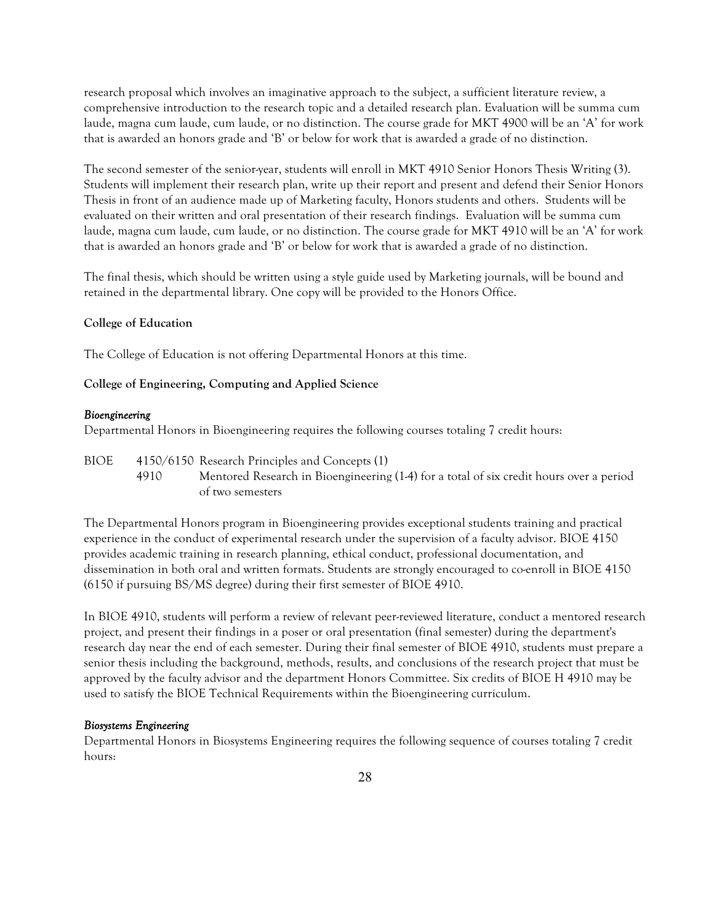research proposal which involves an imaginative approach to the subject, a sufficient literature review, a comprehensive introduction to the research topic and a detailed research plan. Evaluation will be summa cum laude, magna cum laude, cum laude, or no distinction. The course grade for MKT 4900 will be an 'A' for work that is awarded an honors grade and 'B' or below for work that is awarded a grade of no distinction.

The second semester of the senior-year, students will enroll in MKT 4910 Senior Honors Thesis Writing (3). Students will implement their research plan, write up their report and present and defend their Senior Honors Thesis in front of an audience made up of Marketing faculty, Honors students and others. Students will be evaluated on their written and oral presentation of their research findings. Evaluation will be summa cum laude, magna cum laude, cum laude, or no distinction. The course grade for MKT 4910 will be an 'A' for work that is awarded an honors grade and 'B' or below for work that is awarded a grade of no distinction.

The final thesis, which should be written using a style guide used by Marketing journals, will be bound and retained in the departmental library. One copy will be provided to the Honors Office.

### **College of Education**

The College of Education is not offering Departmental Honors at this time.

**College of Engineering, Computing and Applied Science**

#### *Bioengineering*

Departmental Honors in Bioengineering requires the following courses totaling 7 credit hours:

BIOE 4150/6150 Research Principles and Concepts (1) 4910 Mentored Research in Bioengineering (1-4) for a total of six credit hours over a period of two semesters

The Departmental Honors program in Bioengineering provides exceptional students training and practical experience in the conduct of experimental research under the supervision of a faculty advisor. BIOE 4150 provides academic training in research planning, ethical conduct, professional documentation, and dissemination in both oral and written formats. Students are strongly encouraged to co-enroll in BIOE 4150 (6150 if pursuing BS/MS degree) during their first semester of BIOE 4910.

In BIOE 4910, students will perform a review of relevant peer-reviewed literature, conduct a mentored research project, and present their findings in a poser or oral presentation (final semester) during the department's research day near the end of each semester. During their final semester of BIOE 4910, students must prepare a senior thesis including the background, methods, results, and conclusions of the research project that must be approved by the faculty advisor and the department Honors Committee. Six credits of BIOE H 4910 may be used to satisfy the BIOE Technical Requirements within the Bioengineering curriculum.

#### *Biosystems Engineering*

Departmental Honors in Biosystems Engineering requires the following sequence of courses totaling 7 credit hours: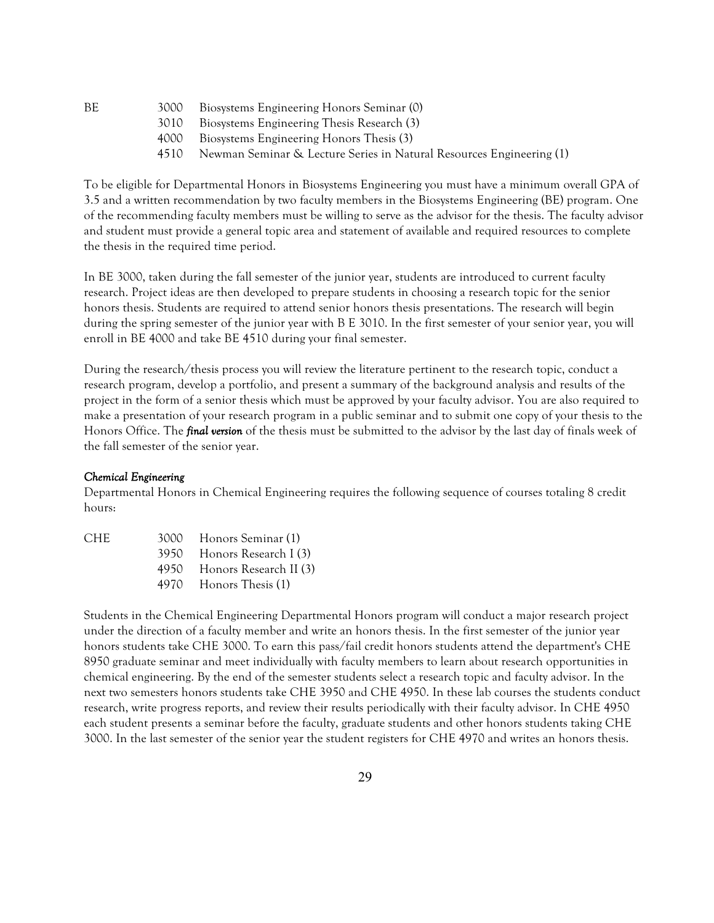BE 3000 Biosystems Engineering Honors Seminar (0)

- 3010 Biosystems Engineering Thesis Research (3)
- 4000 Biosystems Engineering Honors Thesis (3)
- 4510 Newman Seminar & Lecture Series in Natural Resources Engineering (1)

To be eligible for Departmental Honors in Biosystems Engineering you must have a minimum overall GPA of 3.5and a written recommendation by two faculty members in the Biosystems Engineering (BE) program. One of the recommending faculty members must be willing to serve as the advisor for the thesis. The faculty advisor and student must provide a general topic area and statement of available and required resources to complete the thesis in the required time period.

In BE 3000, taken during the fall semester of the junior year, students are introduced to current faculty research. Project ideas are then developed to prepare students in choosing a research topic for the senior honors thesis. Students are required to attend senior honors thesis presentations. The research will begin during the spring semester of the junior year with B E 3010. In the first semester of your senior year, you will enroll in BE 4000 and take BE 4510 during your final semester.

During the research/thesis process you will review the literature pertinent to the research topic, conduct a research program, develop a portfolio, and present a summary of the background analysis and results of the project in the form of a senior thesis which must be approved by your faculty advisor. You are also required to make a presentation of your research program in a public seminar and to submit one copy of your thesis to the Honors Office. The *final version* of the thesis must be submitted to the advisor by the last day of finals week of the fall semester of the senior year.

### *Chemical Engineering*

Departmental Honors in Chemical Engineering requires the following sequence of courses totaling 8 credit hours:

| CHE- | 3000 Honors Seminar (1)     |
|------|-----------------------------|
|      | 3950 Honors Research I (3)  |
|      | 4950 Honors Research II (3) |
|      | 4970 Honors Thesis (1)      |

Students in the Chemical Engineering Departmental Honors program will conduct a major research project under the direction of a faculty member and write an honors thesis. In the first semester of the junior year honors students take CHE 3000. To earn this pass/fail credit honors students attend the department's CHE 8950 graduate seminar and meet individually with faculty members to learn about research opportunities in chemical engineering. By the end of the semester students select a research topic and faculty advisor. In the next two semesters honors students take CHE 3950 and CHE 4950. In these lab courses the students conduct research, write progress reports, and review their results periodically with their faculty advisor. In CHE 4950 each student presents a seminar before the faculty, graduate students and other honors students taking CHE 3000. In the last semester of the senior year the student registers for CHE 4970 and writes an honors thesis.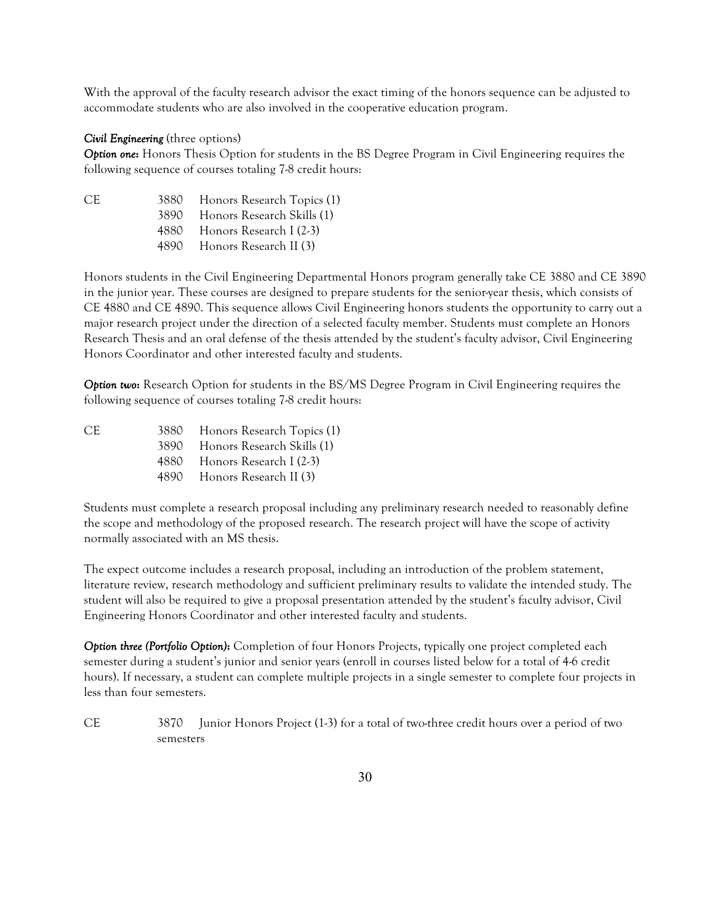With the approval of the faculty research advisor the exact timing of the honors sequence can be adjusted to accommodate students who are also involved in the cooperative education program.

#### *Civil Engineering* (three options)

*Option one***:** Honors Thesis Option for students in the BS Degree Program in Civil Engineering requires the following sequence of courses totaling 7-8 credit hours:

| CE. | 3880 - | Honors Research Topics (1)  |
|-----|--------|-----------------------------|
|     | 3890-  | Honors Research Skills (1)  |
|     | 4880 - | Honors Research I (2-3)     |
|     |        | 4890 Honors Research II (3) |

Honors students in the Civil Engineering Departmental Honors program generally take CE 3880 and CE 3890 in the junior year. These courses are designed to prepare students for the senior-year thesis, which consists of CE 4880 and CE 4890. This sequence allows Civil Engineering honors students the opportunity to carry out a major research project under the direction of a selected faculty member. Students must complete an Honors Research Thesis and an oral defense of the thesis attended by the student's faculty advisor, Civil Engineering Honors Coordinator and other interested faculty and students.

*Option two***:** Research Option for students in the BS/MS Degree Program in Civil Engineering requires the following sequence of courses totaling 7-8 credit hours:

CE 3880 Honors Research Topics (1) 3890 Honors Research Skills (1) 4880 Honors Research I (2-3) 4890 Honors Research II (3)

Students must complete a research proposal including any preliminary research needed to reasonably define the scope and methodology of the proposed research. The research project will have the scope of activity normally associated with an MS thesis.

The expect outcome includes a research proposal, including an introduction of the problem statement, literature review, research methodology and sufficient preliminary results to validate the intended study. The student will also be required to give a proposal presentation attended by the student's faculty advisor, Civil Engineering Honors Coordinator and other interested faculty and students.

*Option three (Portfolio Option)***:** Completion of four Honors Projects, typically one project completed each semester during a student's junior and senior years (enroll in courses listed below for a total of 4-6 credit hours). If necessary, a student can complete multiple projects in a single semester to complete four projects in less than four semesters.

CE 3870 Junior Honors Project (1-3) for a total of two-three credit hours over a period of two semesters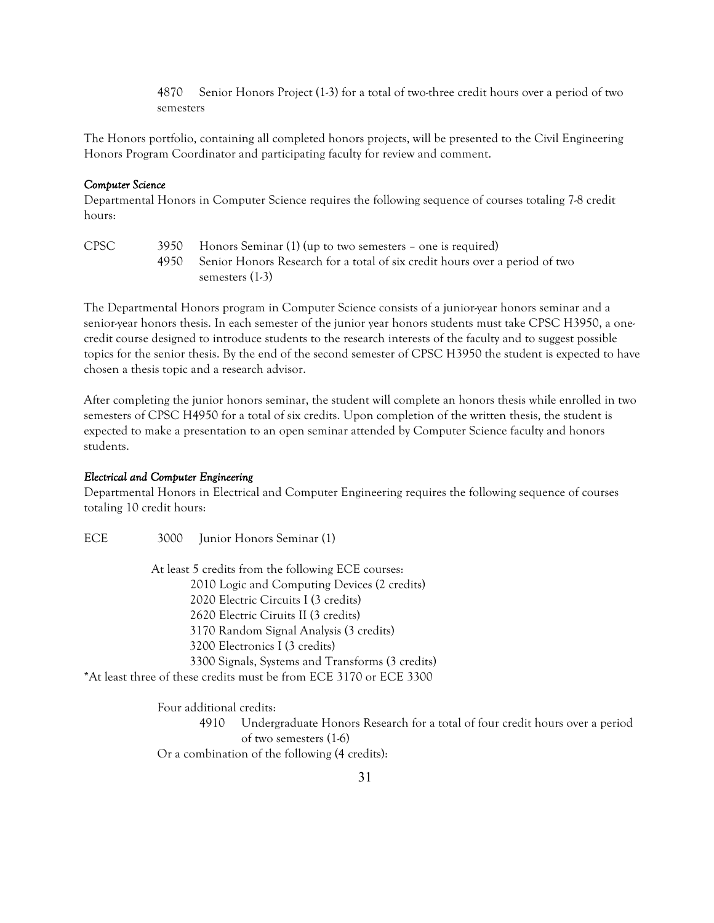4870 Senior Honors Project (1-3) for a total of two-three credit hours over a period of two semesters

The Honors portfolio, containing all completed honors projects, will be presented to the Civil Engineering Honors Program Coordinator and participating faculty for review and comment.

#### *Computer Science*

Departmental Honors in Computer Science requires the following sequence of courses totaling 7-8 credit hours:

| <b>CPSC</b> | 3950 Honors Seminar (1) (up to two semesters – one is required)                  |
|-------------|----------------------------------------------------------------------------------|
|             | 4950 Senior Honors Research for a total of six credit hours over a period of two |
|             | semesters (1-3)                                                                  |

The Departmental Honors program in Computer Science consists of a junior-year honors seminar and a senior-year honors thesis. In each semester of the junior year honors students must take CPSC H3950, a onecredit course designed to introduce students to the research interests of the faculty and to suggest possible topics for the senior thesis. By the end of the second semester of CPSC H3950 the student is expected to have chosen a thesis topic and a research advisor.

After completing the junior honors seminar, the student will complete an honors thesis while enrolled in two semesters of CPSC H4950 for a total of six credits. Upon completion of the written thesis, the student is expected to make a presentation to an open seminar attended by Computer Science faculty and honors students.

#### *Electrical and Computer Engineering*

Departmental Honors in Electrical and Computer Engineering requires the following sequence of courses totaling 10 credit hours:

ECE 3000 Junior Honors Seminar (1)

 At least 5 credits from the following ECE courses: 2010 Logic and Computing Devices (2 credits) 2020 Electric Circuits I (3 credits) 2620 Electric Ciruits II (3 credits) 3170 Random Signal Analysis (3 credits) 3200 Electronics I (3 credits) 3300 Signals, Systems and Transforms (3 credits) \*At least three of these credits must be from ECE 3170 or ECE 3300

Four additional credits:

4910 Undergraduate Honors Research for a total of four credit hours over a period of two semesters (1-6)

Or a combination of the following (4 credits):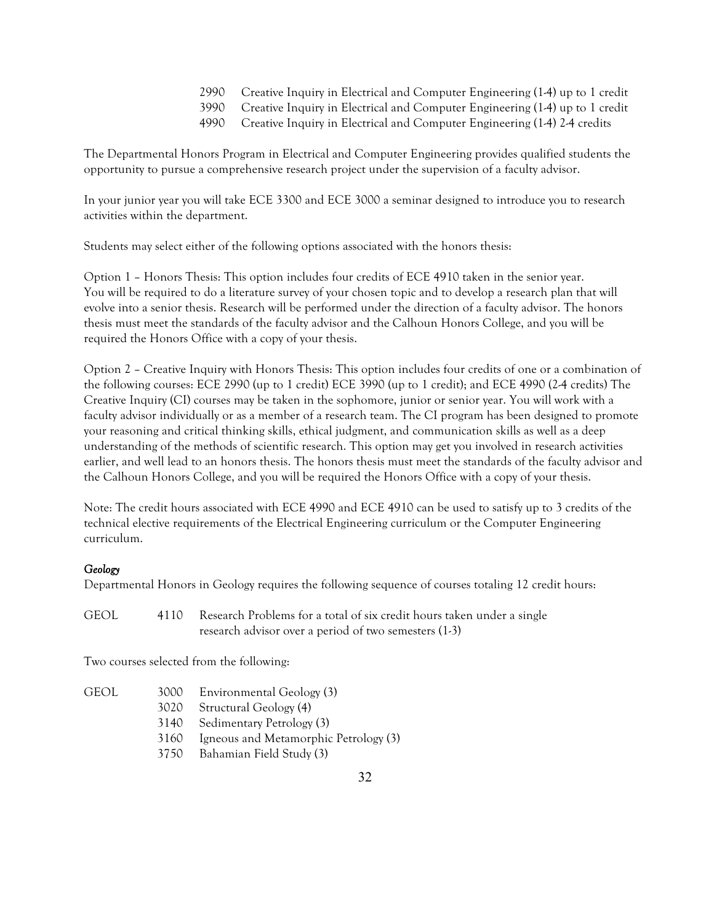- 2990 Creative Inquiry in Electrical and Computer Engineering (1-4) up to 1 credit
- 3990 Creative Inquiry in Electrical and Computer Engineering (1-4) up to 1 credit
- 4990 Creative Inquiry in Electrical and Computer Engineering (1-4) 2-4 credits

The Departmental Honors Program in Electrical and Computer Engineering provides qualified students the opportunity to pursue a comprehensive research project under the supervision of a faculty advisor.

In your junior year you will take ECE 3300 and ECE 3000 a seminar designed to introduce you to research activities within the department.

Students may select either of the following options associated with the honors thesis:

Option 1 – Honors Thesis: This option includes four credits of ECE 4910 taken in the senior year. You will be required to do a literature survey of your chosen topic and to develop a research plan that will evolve into a senior thesis. Research will be performed under the direction of a faculty advisor. The honors thesis must meet the standards of the faculty advisor and the Calhoun Honors College, and you will be required the Honors Office with a copy of your thesis.

Option 2 – Creative Inquiry with Honors Thesis: This option includes four credits of one or a combination of the following courses: ECE 2990 (up to 1 credit) ECE 3990 (up to 1 credit); and ECE 4990 (2-4 credits) The Creative Inquiry (CI) courses may be taken in the sophomore, junior or senior year. You will work with a faculty advisor individually or as a member of a research team. The CI program has been designed to promote your reasoning and critical thinking skills, ethical judgment, and communication skills as well as a deep understanding of the methods of scientific research. This option may get you involved in research activities earlier, and well lead to an honors thesis. The honors thesis must meet the standards of the faculty advisor and the Calhoun Honors College, and you will be required the Honors Office with a copy of your thesis.

Note: The credit hours associated with ECE 4990 and ECE 4910 can be used to satisfy up to 3 credits of the technical elective requirements of the Electrical Engineering curriculum or the Computer Engineering curriculum.

# *Geology*

Departmental Honors in Geology requires the following sequence of courses totaling 12 credit hours:

GEOL 4110 Research Problems for a total of six credit hours taken under a single research advisor over a period of two semesters (1-3)

Two courses selected from the following:

| GEOL | 3000 | Environmental Geology (3)             |
|------|------|---------------------------------------|
|      | 3020 | Structural Geology (4)                |
|      |      | 3140 Sedimentary Petrology (3)        |
|      | 3160 | Igneous and Metamorphic Petrology (3) |
|      |      | 3750 Bahamian Field Study (3)         |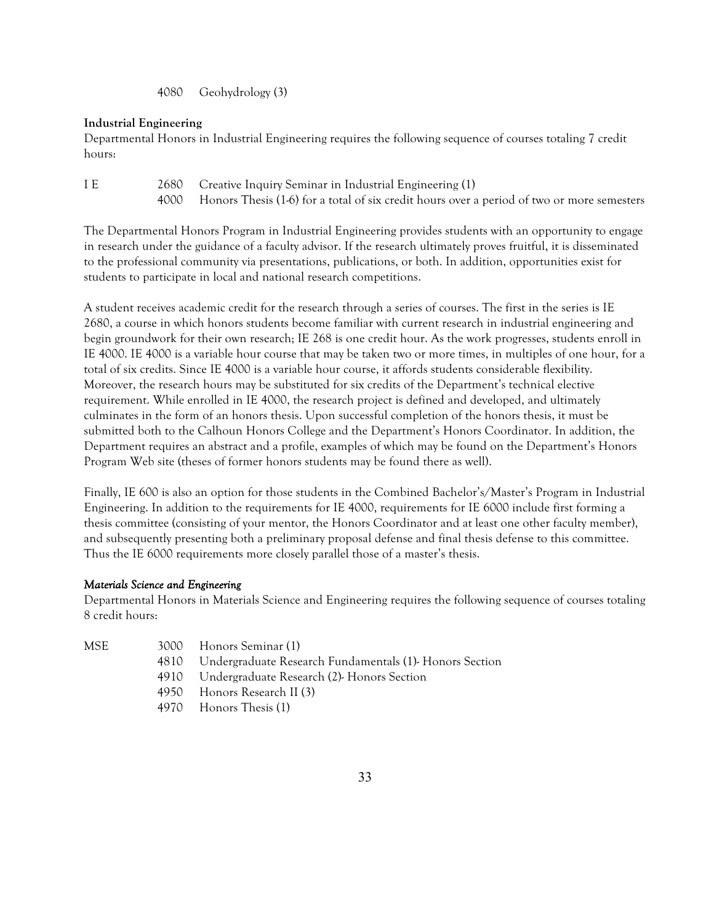4080 Geohydrology (3)

# **Industrial Engineering**

Departmental Honors in Industrial Engineering requires the following sequence of courses totaling 7 credit hours:

I E 2680 Creative Inquiry Seminar in Industrial Engineering (1) 4000 Honors Thesis (1-6) for a total of six credit hours over a period of two or more semesters

The Departmental Honors Program in Industrial Engineering provides students with an opportunity to engage in research under the guidance of a faculty advisor. If the research ultimately proves fruitful, it is disseminated to the professional community via presentations, publications, or both. In addition, opportunities exist for students to participate in local and national research competitions.

A student receives academic credit for the research through a series of courses. The first in the series is IE 2680, a course in which honors students become familiar with current research in industrial engineering and begin groundwork for their own research; IE 268 is one credit hour. As the work progresses, students enroll in IE 4000. IE 4000 is a variable hour course that may be taken two or more times, in multiples of one hour, for a total of six credits. Since IE 4000 is a variable hour course, it affords students considerable flexibility. Moreover, the research hours may be substituted for six credits of the Department's technical elective requirement. While enrolled in IE 4000, the research project is defined and developed, and ultimately culminates in the form of an honors thesis. Upon successful completion of the honors thesis, it must be submitted both to the Calhoun Honors College and the Department's Honors Coordinator. In addition, the Department requires an abstract and a profile, examples of which may be found on the Department's Honors Program Web site (theses of former honors students may be found there as well).

Finally, IE 600 is also an option for those students in the Combined Bachelor's/Master's Program in Industrial Engineering. In addition to the requirements for IE 4000, requirements for IE 6000 include first forming a thesis committee (consisting of your mentor, the Honors Coordinator and at least one other faculty member), and subsequently presenting both a preliminary proposal defense and final thesis defense to this committee. Thus the IE 6000 requirements more closely parallel those of a master's thesis.

# *Materials Science and Engineering*

Departmental Honors in Materials Science and Engineering requires the following sequence of courses totaling 8 credit hours:

- 
- MSE 3000 Honors Seminar (1)
	- 4810 Undergraduate Research Fundamentals (1)- Honors Section
	- 4910 Undergraduate Research (2)- Honors Section
	- 4950 Honors Research II (3)
	- 4970 Honors Thesis (1)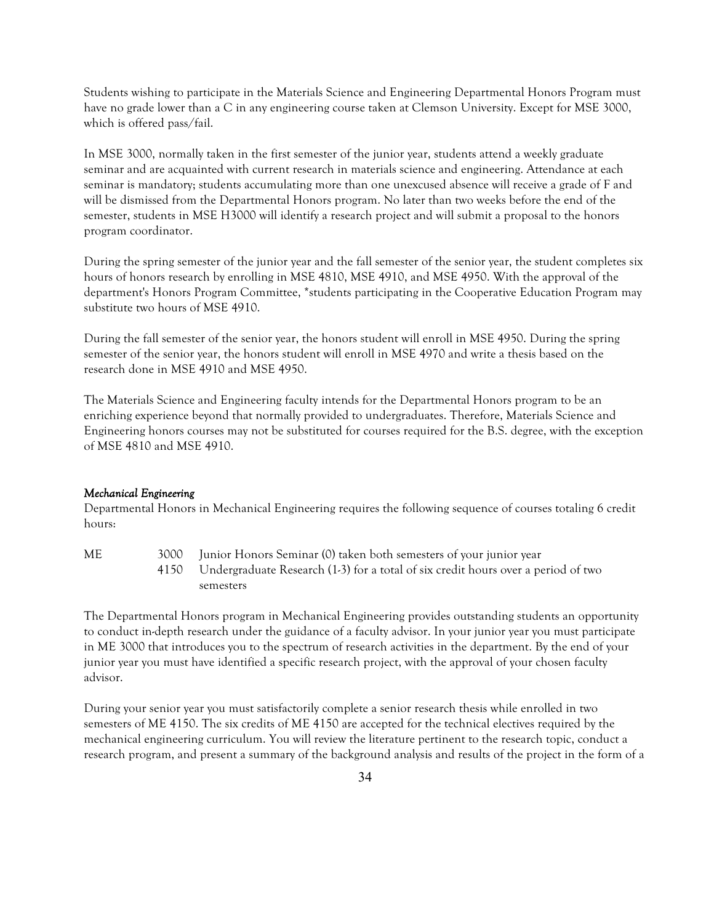Students wishing to participate in the Materials Science and Engineering Departmental Honors Program must have no grade lower than a C in any engineering course taken at Clemson University. Except for MSE 3000, which is offered pass/fail.

In MSE 3000, normally taken in the first semester of the junior year, students attend a weekly graduate seminar and are acquainted with current research in materials science and engineering. Attendance at each seminar is mandatory; students accumulating more than one unexcused absence will receive a grade of F and will be dismissed from the Departmental Honors program. No later than two weeks before the end of the semester, students in MSE H3000 will identify a research project and will submit a proposal to the honors program coordinator.

During the spring semester of the junior year and the fall semester of the senior year, the student completes six hours of honors research by enrolling in MSE 4810, MSE 4910, and MSE 4950. With the approval of the department's Honors Program Committee, \*students participating in the Cooperative Education Program may substitute two hours of MSE 4910.

During the fall semester of the senior year, the honors student will enroll in MSE 4950. During the spring semester of the senior year, the honors student will enroll in MSE 4970 and write a thesis based on the research done in MSE 4910 and MSE 4950.

The Materials Science and Engineering faculty intends for the Departmental Honors program to be an enriching experience beyond that normally provided to undergraduates. Therefore, Materials Science and Engineering honors courses may not be substituted for courses required for the B.S. degree, with the exception of MSE 4810 and MSE 4910.

### *Mechanical Engineering*

Departmental Honors in Mechanical Engineering requires the following sequence of courses totaling 6 credit hours:

ME 3000 Junior Honors Seminar (0) taken both semesters of your junior year 4150 Undergraduate Research (1-3) for a total of six credit hours over a period of two semesters

The Departmental Honors program in Mechanical Engineering provides outstanding students an opportunity to conduct in-depth research under the guidance of a faculty advisor. In your junior year you must participate in ME 3000 that introduces you to the spectrum of research activities in the department. By the end of your junior year you must have identified a specific research project, with the approval of your chosen faculty advisor.

During your senior year you must satisfactorily complete a senior research thesis while enrolled in two semesters of ME 4150. The six credits of ME 4150 are accepted for the technical electives required by the mechanical engineering curriculum. You will review the literature pertinent to the research topic, conduct a research program, and present a summary of the background analysis and results of the project in the form of a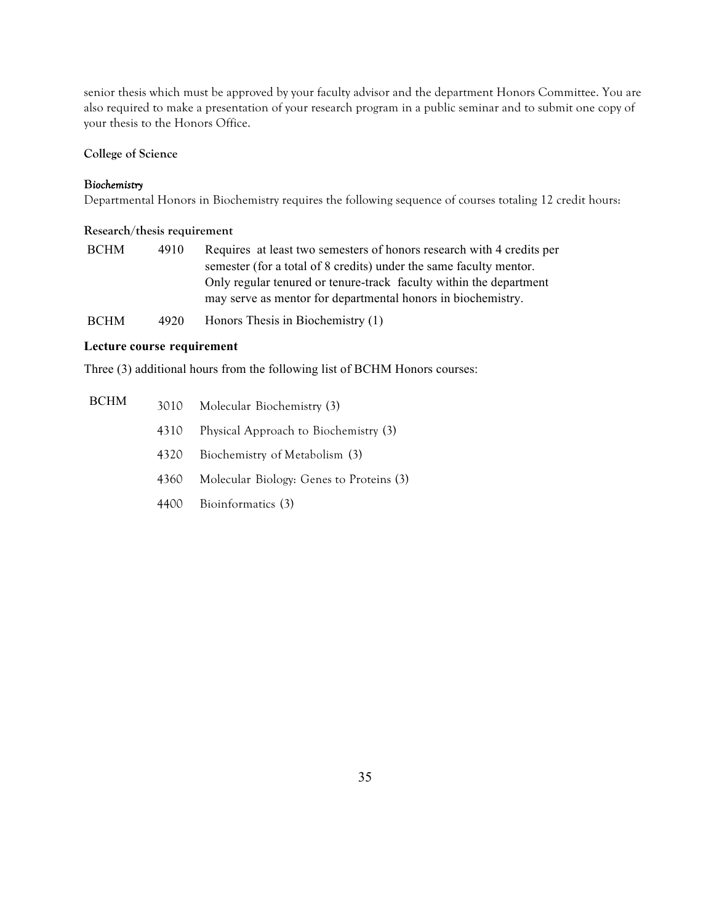senior thesis which must be approved by your faculty advisor and the department Honors Committee. You are also required to make a presentation of your research program in a public seminar and to submit one copy of your thesis to the Honors Office.

# **College of Science**

### **B***iochemistry*

Departmental Honors in Biochemistry requires the following sequence of courses totaling 12 credit hours:

### **Research/thesis requirement**

| <b>BCHM</b> | 4910 | Requires at least two semesters of honors research with 4 credits per |
|-------------|------|-----------------------------------------------------------------------|
|             |      | semester (for a total of 8 credits) under the same faculty mentor.    |
|             |      | Only regular tenured or tenure-track faculty within the department    |
|             |      | may serve as mentor for departmental honors in biochemistry.          |
| <b>BCHM</b> | 4920 | Honors Thesis in Biochemistry $(1)$                                   |

# **Lecture course requirement**

Three (3) additional hours from the following list of BCHM Honors courses:

| <b>BCHM</b> |      | 3010 Molecular Biochemistry (3)          |
|-------------|------|------------------------------------------|
|             | 4310 | Physical Approach to Biochemistry (3)    |
|             | 4320 | Biochemistry of Metabolism (3)           |
|             | 4360 | Molecular Biology: Genes to Proteins (3) |
|             |      | 4400 Bioinformatics (3)                  |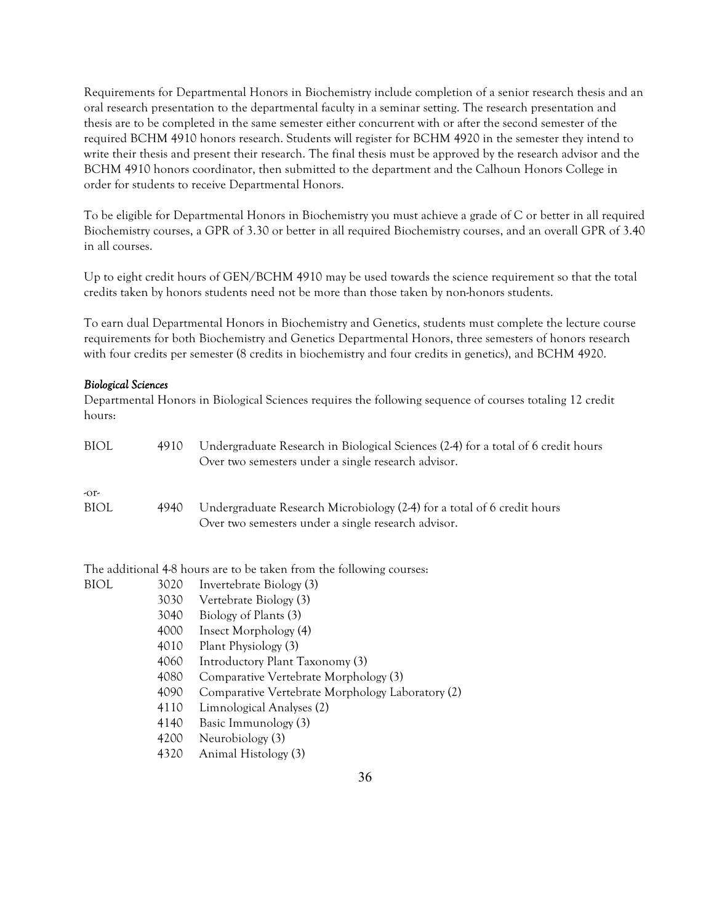Requirements for Departmental Honors in Biochemistry include completion of a senior research thesis and an oral research presentation to the departmental faculty in a seminar setting. The research presentation and thesis are to be completed in the same semester either concurrent with or after the second semester of the required BCHM 4910 honors research. Students will register for BCHM 4920 in the semester they intend to write their thesis and present their research. The final thesis must be approved by the research advisor and the BCHM 4910 honors coordinator, then submitted to the department and the Calhoun Honors College in order for students to receive Departmental Honors.

To be eligible for Departmental Honors in Biochemistry you must achieve a grade of C or better in all required Biochemistry courses, a GPR of 3.30 or better in all required Biochemistry courses, and an overall GPR of 3.40 in all courses.

Up to eight credit hours of GEN/BCHM 4910 may be used towards the science requirement so that the total credits taken by honors students need not be more than those taken by non-honors students.

To earn dual Departmental Honors in Biochemistry and Genetics, students must complete the lecture course requirements for both Biochemistry and Genetics Departmental Honors, three semesters of honors research with four credits per semester (8 credits in biochemistry and four credits in genetics), and BCHM 4920.

### *Biological Sciences*

Departmental Honors in Biological Sciences requires the following sequence of courses totaling 12 credit hours:

| <b>BIOL</b> | 4910 | Undergraduate Research in Biological Sciences (2-4) for a total of 6 credit hours<br>Over two semesters under a single research advisor. |
|-------------|------|------------------------------------------------------------------------------------------------------------------------------------------|
| $-0r$       |      |                                                                                                                                          |
| BIOL        | 4940 | Undergraduate Research Microbiology (2-4) for a total of 6 credit hours<br>Over two semesters under a single research advisor.           |

The additional 4-8 hours are to be taken from the following courses:

|      | Invertebrate Biology (3)                         |
|------|--------------------------------------------------|
| 3030 | Vertebrate Biology (3)                           |
| 3040 | Biology of Plants (3)                            |
| 4000 | Insect Morphology (4)                            |
| 4010 | Plant Physiology (3)                             |
| 4060 | Introductory Plant Taxonomy (3)                  |
| 4080 | Comparative Vertebrate Morphology (3)            |
| 4090 | Comparative Vertebrate Morphology Laboratory (2) |
| 4110 | Limnological Analyses (2)                        |
| 4140 | Basic Immunology (3)                             |
| 4200 | Neurobiology (3)                                 |
| 4320 | Animal Histology (3)                             |
|      | 3020                                             |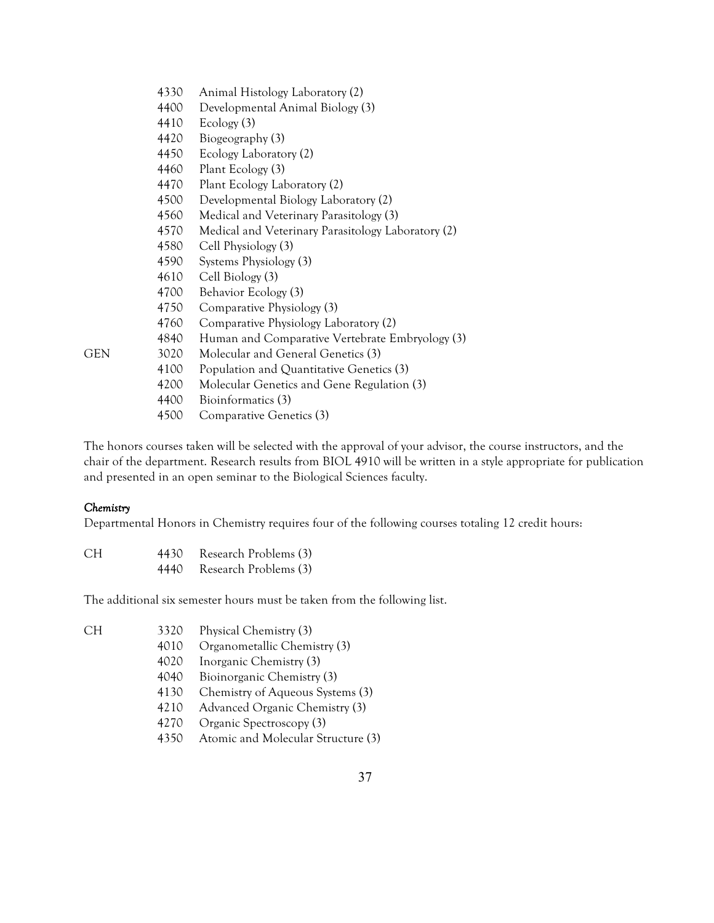|     | 4330 | Animal Histology Laboratory (2)                    |
|-----|------|----------------------------------------------------|
|     | 4400 | Developmental Animal Biology (3)                   |
|     | 4410 | Ecology (3)                                        |
|     | 4420 | Biogeography (3)                                   |
|     | 4450 | Ecology Laboratory (2)                             |
|     | 4460 | Plant Ecology (3)                                  |
|     | 4470 | Plant Ecology Laboratory (2)                       |
|     | 4500 | Developmental Biology Laboratory (2)               |
|     | 4560 | Medical and Veterinary Parasitology (3)            |
|     | 4570 | Medical and Veterinary Parasitology Laboratory (2) |
|     | 4580 | Cell Physiology (3)                                |
|     | 4590 | Systems Physiology (3)                             |
|     | 4610 | Cell Biology (3)                                   |
|     | 4700 | Behavior Ecology (3)                               |
|     | 4750 | Comparative Physiology (3)                         |
|     | 4760 | Comparative Physiology Laboratory (2)              |
|     | 4840 | Human and Comparative Vertebrate Embryology (3)    |
| GEN | 3020 | Molecular and General Genetics (3)                 |
|     | 4100 | Population and Quantitative Genetics (3)           |
|     | 4200 | Molecular Genetics and Gene Regulation (3)         |
|     | 4400 | Bioinformatics (3)                                 |
|     | 4500 | Comparative Genetics (3)                           |

The honors courses taken will be selected with the approval of your advisor, the course instructors, and the chair of the department. Research results from BIOL 4910 will be written in a style appropriate for publication and presented in an open seminar to the Biological Sciences faculty.

### *Chemistry*

Departmental Honors in Chemistry requires four of the following courses totaling 12 credit hours:

| CH. | 4430 | Research Problems (3) |
|-----|------|-----------------------|
|     | 4440 | Research Problems (3) |

The additional six semester hours must be taken from the following list.

| ٧<br>v.<br>٠ |  |
|--------------|--|
|              |  |

- 3320 Physical Chemistry (3)
- 4010 Organometallic Chemistry (3)
- 4020 Inorganic Chemistry (3)
- 4040 Bioinorganic Chemistry (3)
- 4130 Chemistry of Aqueous Systems (3)
- 4210 Advanced Organic Chemistry (3)
- 4270 Organic Spectroscopy (3)
- 4350 Atomic and Molecular Structure (3)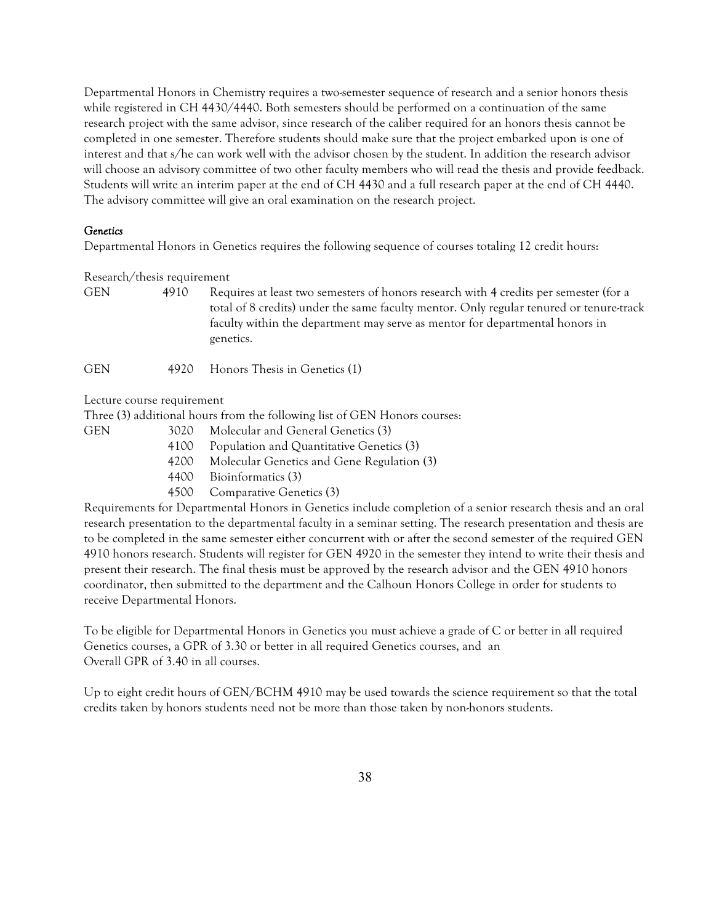Departmental Honors in Chemistry requires a two-semester sequence of research and a senior honors thesis while registered in CH 4430/4440. Both semesters should be performed on a continuation of the same research project with the same advisor, since research of the caliber required for an honors thesis cannot be completed in one semester. Therefore students should make sure that the project embarked upon is one of interest and that s/he can work well with the advisor chosen by the student. In addition the research advisor will choose an advisory committee of two other faculty members who will read the thesis and provide feedback. Students will write an interim paper at the end of CH 4430 and a full research paper at the end of CH 4440. The advisory committee will give an oral examination on the research project.

#### *Genetics*

Departmental Honors in Genetics requires the following sequence of courses totaling 12 credit hours:

#### Research/thesis requirement

GEN 4910 Requires at least two semesters of honors research with 4 credits per semester (for a total of 8 credits) under the same faculty mentor. Only regular tenured or tenure-track faculty within the department may serve as mentor for departmental honors in genetics.

GEN 4920 Honors Thesis in Genetics (1)

Lecture course requirement

Three (3) additional hours from the following list of GEN Honors courses:

- GEN 3020 Molecular and General Genetics (3)
	- 4100 Population and Quantitative Genetics (3)
	- 4200 Molecular Genetics and Gene Regulation (3)
	- 4400 Bioinformatics (3)
	- 4500 Comparative Genetics (3)

Requirements for Departmental Honors in Genetics include completion of a senior research thesis and an oral research presentation to the departmental faculty in a seminar setting. The research presentation and thesis are to be completed in the same semester either concurrent with or after the second semester of the required GEN 4910 honors research. Students will register for GEN 4920 in the semester they intend to write their thesis and present their research. The final thesis must be approved by the research advisor and the GEN 4910 honors coordinator, then submitted to the department and the Calhoun Honors College in order for students to receive Departmental Honors.

To be eligible for Departmental Honors in Genetics you must achieve a grade of C or better in all required Genetics courses, a GPR of 3.30 or better in all required Genetics courses, and an Overall GPR of 3.40 in all courses.

Up to eight credit hours of GEN/BCHM 4910 may be used towards the science requirement so that the total credits taken by honors students need not be more than those taken by non-honors students.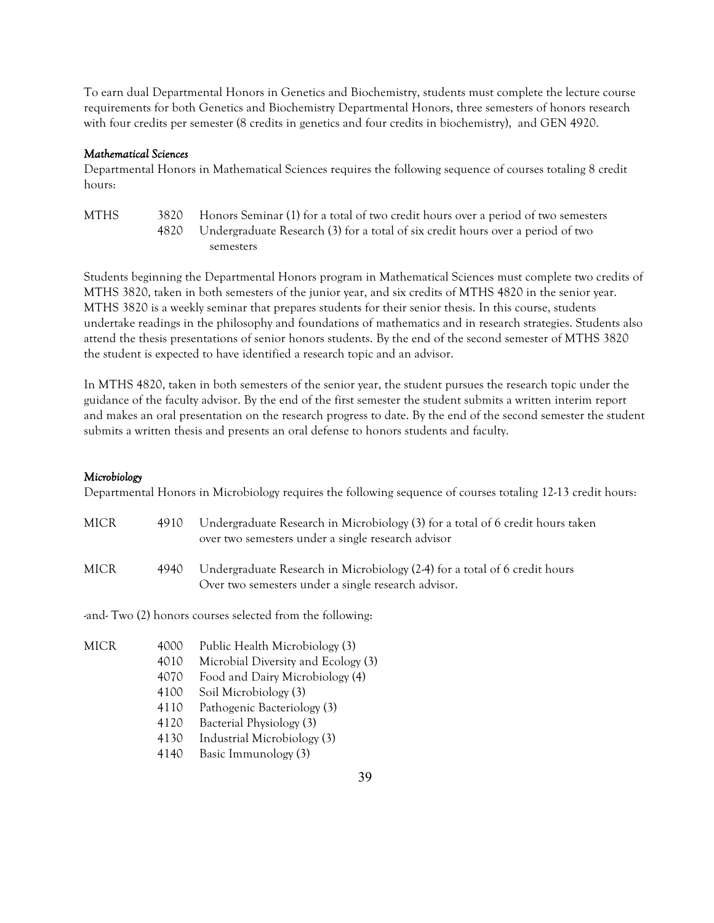To earn dual Departmental Honors in Genetics and Biochemistry, students must complete the lecture course requirements for both Genetics and Biochemistry Departmental Honors, three semesters of honors research with four credits per semester (8 credits in genetics and four credits in biochemistry), and GEN 4920.

### *Mathematical Sciences*

Departmental Honors in Mathematical Sciences requires the following sequence of courses totaling 8 credit hours:

MTHS 3820 Honors Seminar (1) for a total of two credit hours over a period of two semesters 4820 Undergraduate Research (3) for a total of six credit hours over a period of two semesters

Students beginning the Departmental Honors program in Mathematical Sciences must complete two credits of MTHS 3820, taken in both semesters of the junior year, and six credits of MTHS 4820 in the senior year. MTHS 3820 is a weekly seminar that prepares students for their senior thesis. In this course, students undertake readings in the philosophy and foundations of mathematics and in research strategies. Students also attend the thesis presentations of senior honors students. By the end of the second semester of MTHS 3820 the student is expected to have identified a research topic and an advisor.

In MTHS 4820, taken in both semesters of the senior year, the student pursues the research topic under the guidance of the faculty advisor. By the end of the first semester the student submits a written interim report and makes an oral presentation on the research progress to date. By the end of the second semester the student submits a written thesis and presents an oral defense to honors students and faculty.

### *Microbiology*

Departmental Honors in Microbiology requires the following sequence of courses totaling 12-13 credit hours:

| MICR | 4910 | Undergraduate Research in Microbiology (3) for a total of 6 credit hours taken<br>over two semesters under a single research advisor |
|------|------|--------------------------------------------------------------------------------------------------------------------------------------|
| MICR | 4940 | Undergraduate Research in Microbiology (2-4) for a total of 6 credit hours<br>Over two semesters under a single research advisor.    |

-and- Two (2) honors courses selected from the following:

- MICR 4000 Public Health Microbiology (3)
	- 4010 Microbial Diversity and Ecology (3)
	- 4070 Food and Dairy Microbiology (4)
	- 4100 Soil Microbiology (3)
	- 4110 Pathogenic Bacteriology (3)
	- 4120 Bacterial Physiology (3)
	- 4130 Industrial Microbiology (3)
	- 4140 Basic Immunology (3)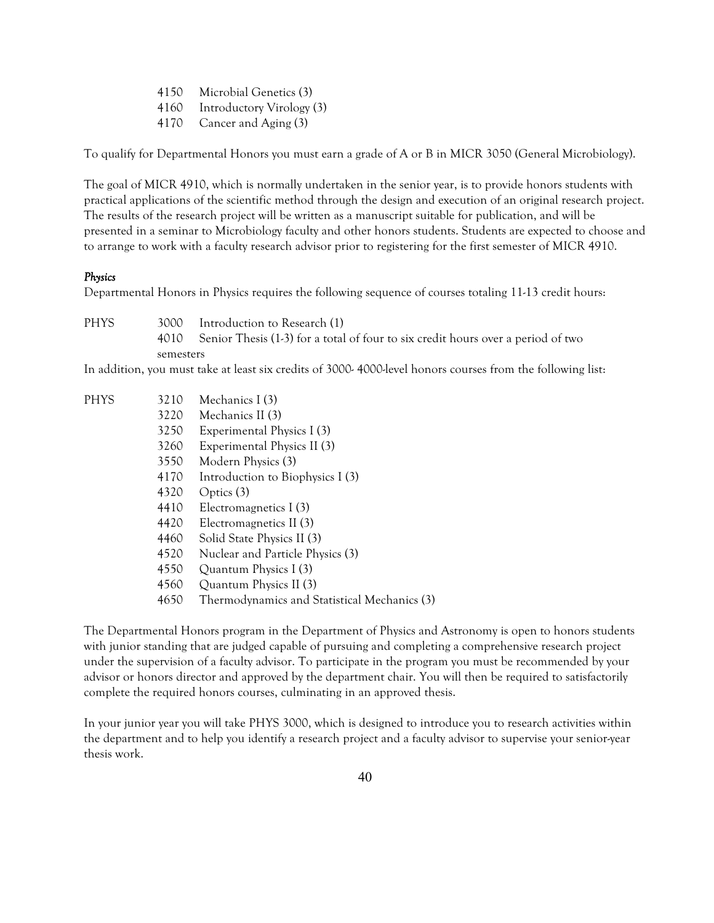4150 Microbial Genetics (3) 4160 Introductory Virology (3) 4170 Cancer and Aging (3)

To qualify for Departmental Honors you must earn a grade of A or B in MICR 3050 (General Microbiology).

The goal of MICR 4910, which is normally undertaken in the senior year, is to provide honors students with practical applications of the scientific method through the design and execution of an original research project. The results of the research project will be written as a manuscript suitable for publication, and will be presented in a seminar to Microbiology faculty and other honors students. Students are expected to choose and to arrange to work with a faculty research advisor prior to registering for the first semester of MICR 4910.

# *Physics*

Departmental Honors in Physics requires the following sequence of courses totaling 11-13 credit hours:

PHYS 3000 Introduction to Research (1) 4010 Senior Thesis (1-3) for a total of four to six credit hours over a period of two semesters

In addition, you must take at least six credits of 3000- 4000-level honors courses from the following list:

| <b>PHYS</b> | 3210 | Mechanics I (3)                              |
|-------------|------|----------------------------------------------|
|             | 3220 | Mechanics II (3)                             |
|             | 3250 | Experimental Physics I (3)                   |
|             | 3260 | Experimental Physics II (3)                  |
|             | 3550 | Modern Physics (3)                           |
|             | 4170 | Introduction to Biophysics I (3)             |
|             | 4320 | Optics $(3)$                                 |
|             | 4410 | Electromagnetics I (3)                       |
|             | 4420 | Electromagnetics II (3)                      |
|             | 4460 | Solid State Physics II (3)                   |
|             | 4520 | Nuclear and Particle Physics (3)             |
|             | 4550 | Quantum Physics I (3)                        |
|             | 4560 | Quantum Physics II (3)                       |
|             | 4650 | Thermodynamics and Statistical Mechanics (3) |
|             |      |                                              |

The Departmental Honors program in the Department of Physics and Astronomy is open to honors students with junior standing that are judged capable of pursuing and completing a comprehensive research project under the supervision of a faculty advisor. To participate in the program you must be recommended by your advisor or honors director and approved by the department chair. You will then be required to satisfactorily complete the required honors courses, culminating in an approved thesis.

In your junior year you will take PHYS 3000, which is designed to introduce you to research activities within the department and to help you identify a research project and a faculty advisor to supervise your senior-year thesis work.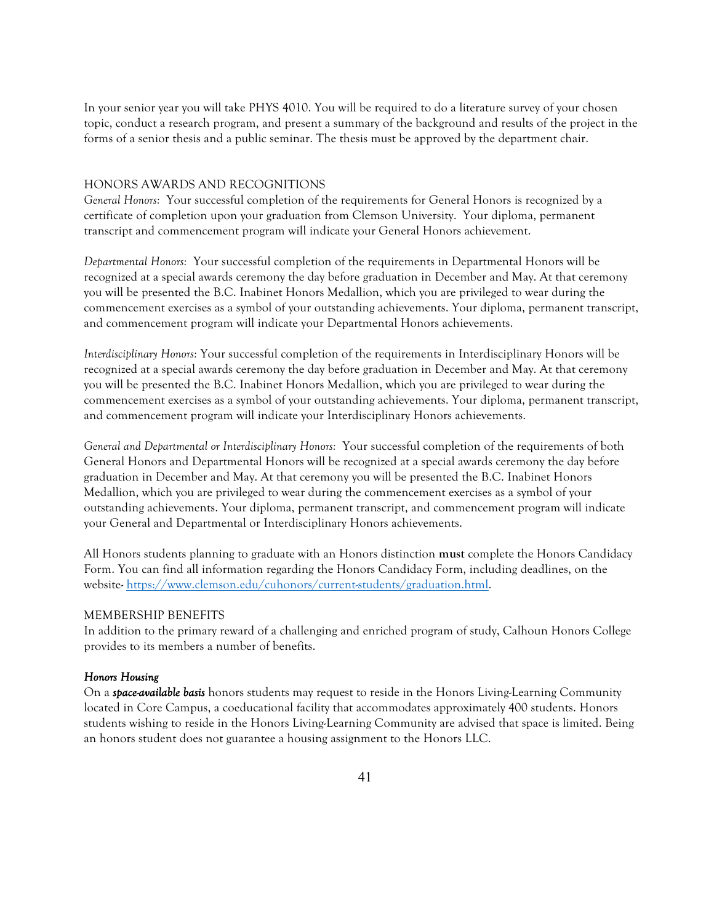In your senior year you will take PHYS 4010. You will be required to do a literature survey of your chosen topic, conduct a research program, and present a summary of the background and results of the project in the forms of a senior thesis and a public seminar. The thesis must be approved by the department chair.

### HONORS AWARDS AND RECOGNITIONS

*General Honors:* Your successful completion of the requirements for General Honors is recognized by a certificate of completion upon your graduation from Clemson University. Your diploma, permanent transcript and commencement program will indicate your General Honors achievement.

*Departmental Honors:* Your successful completion of the requirements in Departmental Honors will be recognized at a special awards ceremony the day before graduation in December and May. At that ceremony you will be presented the B.C. Inabinet Honors Medallion, which you are privileged to wear during the commencement exercises as a symbol of your outstanding achievements. Your diploma, permanent transcript, and commencement program will indicate your Departmental Honors achievements.

*Interdisciplinary Honors:* Your successful completion of the requirements in Interdisciplinary Honors will be recognized at a special awards ceremony the day before graduation in December and May. At that ceremony you will be presented the B.C. Inabinet Honors Medallion, which you are privileged to wear during the commencement exercises as a symbol of your outstanding achievements. Your diploma, permanent transcript, and commencement program will indicate your Interdisciplinary Honors achievements.

*General and Departmental or Interdisciplinary Honors:* Your successful completion of the requirements of both General Honors and Departmental Honors will be recognized at a special awards ceremony the day before graduation in December and May. At that ceremony you will be presented the B.C. Inabinet Honors Medallion, which you are privileged to wear during the commencement exercises as a symbol of your outstanding achievements. Your diploma, permanent transcript, and commencement program will indicate your General and Departmental or Interdisciplinary Honors achievements.

All Honors students planning to graduate with an Honors distinction **must** complete the Honors Candidacy Form. You can find all information regarding the Honors Candidacy Form, including deadlines, on the website- https://www.clemson.edu/cuhonors/current-students/graduation.html.

### MEMBERSHIP BENEFITS

In addition to the primary reward of a challenging and enriched program of study, Calhoun Honors College provides to its members a number of benefits.

#### *Honors Housing*

On a *space-available basis* honors students may request to reside in the Honors Living-Learning Community located in Core Campus, a coeducational facility that accommodates approximately 400 students. Honors students wishing to reside in the Honors Living-Learning Community are advised that space is limited. Being an honors student does not guarantee a housing assignment to the Honors LLC.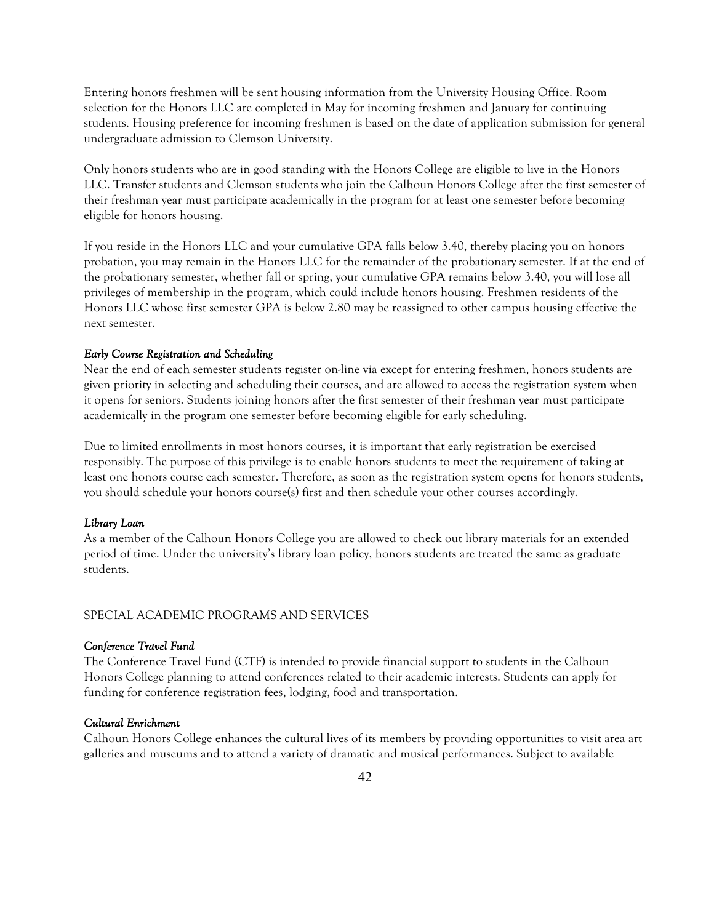Entering honors freshmen will be sent housing information from the University Housing Office. Room selection for the Honors LLC are completed in May for incoming freshmen and January for continuing students. Housing preference for incoming freshmen is based on the date of application submission for general undergraduate admission to Clemson University.

Only honors students who are in good standing with the Honors College are eligible to live in the Honors LLC. Transfer students and Clemson students who join the Calhoun Honors College after the first semester of their freshman year must participate academically in the program for at least one semester before becoming eligible for honors housing.

If you reside in the Honors LLC and your cumulative GPA falls below 3.40, thereby placing you on honors probation, you may remain in the Honors LLC for the remainder of the probationary semester. If at the end of the probationary semester, whether fall or spring, your cumulative GPA remains below 3.40, you will lose all privileges of membership in the program, which could include honors housing. Freshmen residents of the Honors LLC whose first semester GPA is below 2.80 may be reassigned to other campus housing effective the next semester.

### *Early Course Registration and Scheduling*

Near the end of each semester students register on-line via except for entering freshmen, honors students are given priority in selecting and scheduling their courses, and are allowed to access the registration system when it opens for seniors. Students joining honors after the first semester of their freshman year must participate academically in the program one semester before becoming eligible for early scheduling.

Due to limited enrollments in most honors courses, it is important that early registration be exercised responsibly. The purpose of this privilege is to enable honors students to meet the requirement of taking at least one honors course each semester. Therefore, as soon as the registration system opens for honors students, you should schedule your honors course(s) first and then schedule your other courses accordingly.

#### *Library Loan*

As a member of the Calhoun Honors College you are allowed to check out library materials for an extended period of time. Under the university's library loan policy, honors students are treated the same as graduate students.

### SPECIAL ACADEMIC PROGRAMS AND SERVICES

#### *Conference Travel Fund*

The Conference Travel Fund (CTF) is intended to provide financial support to students in the Calhoun Honors College planning to attend conferences related to their academic interests. Students can apply for funding for conference registration fees, lodging, food and transportation.

#### *Cultural Enrichment*

Calhoun Honors College enhances the cultural lives of its members by providing opportunities to visit area art galleries and museums and to attend a variety of dramatic and musical performances. Subject to available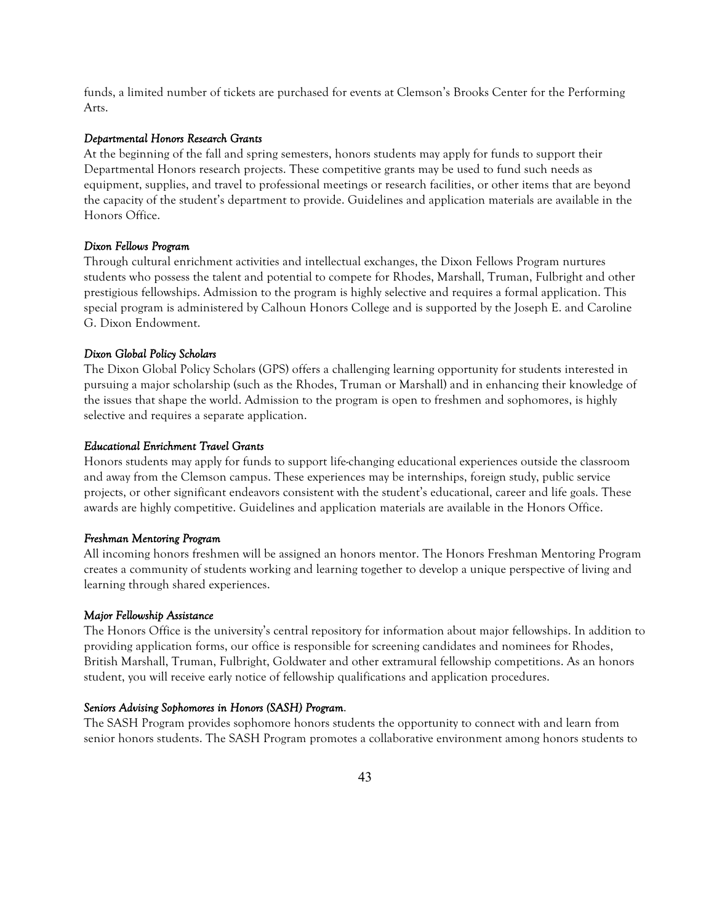funds, a limited number of tickets are purchased for events at Clemson's Brooks Center for the Performing Arts.

#### *Departmental Honors Research Grants*

At the beginning of the fall and spring semesters, honors students may apply for funds to support their Departmental Honors research projects. These competitive grants may be used to fund such needs as equipment, supplies, and travel to professional meetings or research facilities, or other items that are beyond the capacity of the student's department to provide. Guidelines and application materials are available in the Honors Office.

#### *Dixon Fellows Program*

Through cultural enrichment activities and intellectual exchanges, the Dixon Fellows Program nurtures students who possess the talent and potential to compete for Rhodes, Marshall, Truman, Fulbright and other prestigious fellowships. Admission to the program is highly selective and requires a formal application. This special program is administered by Calhoun Honors College and is supported by the Joseph E. and Caroline G. Dixon Endowment.

#### *Dixon Global Policy Scholars*

The Dixon Global Policy Scholars (GPS) offers a challenging learning opportunity for students interested in pursuing a major scholarship (such as the Rhodes, Truman or Marshall) and in enhancing their knowledge of the issues that shape the world. Admission to the program is open to freshmen and sophomores, is highly selective and requires a separate application.

#### *Educational Enrichment Travel Grants*

Honors students may apply for funds to support life-changing educational experiences outside the classroom and away from the Clemson campus. These experiences may be internships, foreign study, public service projects, or other significant endeavors consistent with the student's educational, career and life goals. These awards are highly competitive. Guidelines and application materials are available in the Honors Office.

#### *Freshman Mentoring Program*

All incoming honors freshmen will be assigned an honors mentor. The Honors Freshman Mentoring Program creates a community of students working and learning together to develop a unique perspective of living and learning through shared experiences.

#### *Major Fellowship Assistance*

The Honors Office is the university's central repository for information about major fellowships. In addition to providing application forms, our office is responsible for screening candidates and nominees for Rhodes, British Marshall, Truman, Fulbright, Goldwater and other extramural fellowship competitions. As an honors student, you will receive early notice of fellowship qualifications and application procedures.

#### *Seniors Advising Sophomores in Honors (SASH) Program*.

The SASH Program provides sophomore honors students the opportunity to connect with and learn from senior honors students. The SASH Program promotes a collaborative environment among honors students to